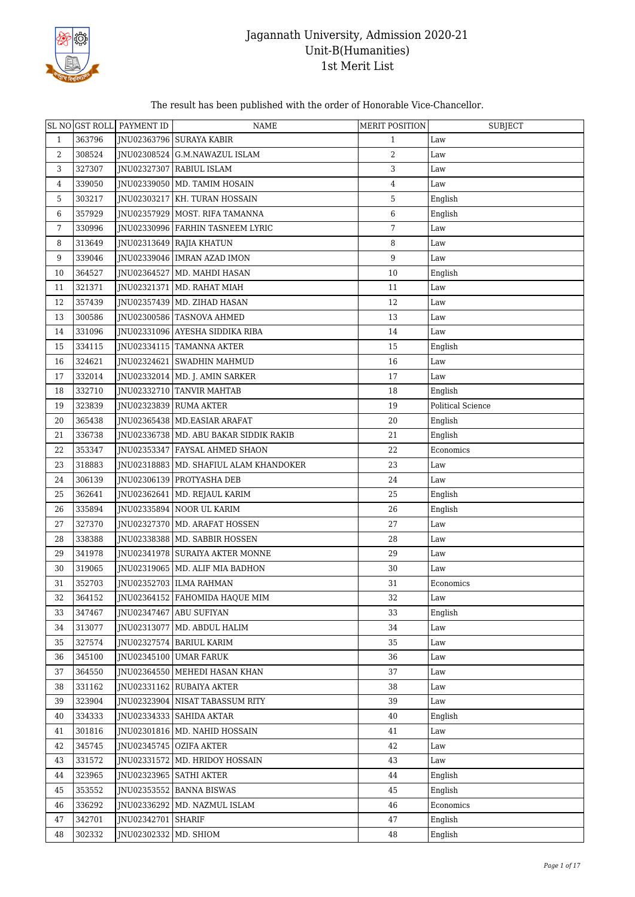

#### The result has been published with the order of Honorable Vice-Chancellor.

|              |        | SL NO GST ROLL PAYMENT ID | <b>NAME</b>                              | <b>MERIT POSITION</b> | <b>SUBJECT</b>    |
|--------------|--------|---------------------------|------------------------------------------|-----------------------|-------------------|
| $\mathbf{1}$ | 363796 |                           | JNU02363796 SURAYA KABIR                 | $\mathbf{1}$          | Law               |
| 2            | 308524 |                           | JNU02308524 G.M.NAWAZUL ISLAM            | 2                     | Law               |
| 3            | 327307 |                           | JNU02327307 RABIUL ISLAM                 | 3                     | Law               |
| 4            | 339050 |                           | JNU02339050   MD. TAMIM HOSAIN           | 4                     | Law               |
| 5            | 303217 |                           | JNU02303217 KH. TURAN HOSSAIN            | 5                     | English           |
| 6            | 357929 |                           | JNU02357929   MOST. RIFA TAMANNA         | 6                     | English           |
| 7            | 330996 |                           | JNU02330996 FARHIN TASNEEM LYRIC         | 7                     | Law               |
| 8            | 313649 |                           | JNU02313649 RAJIA KHATUN                 | 8                     | Law               |
| 9            | 339046 |                           | JNU02339046   IMRAN AZAD IMON            | 9                     | Law               |
| 10           | 364527 |                           | JNU02364527   MD. MAHDI HASAN            | 10                    | English           |
| 11           | 321371 |                           | JNU02321371   MD. RAHAT MIAH             | 11                    | Law               |
| 12           | 357439 |                           | JNU02357439   MD. ZIHAD HASAN            | 12                    | Law               |
| 13           | 300586 |                           | JNU02300586   TASNOVA AHMED              | 13                    | Law               |
| 14           | 331096 |                           | JNU02331096 AYESHA SIDDIKA RIBA          | 14                    | Law               |
| 15           | 334115 |                           | JNU02334115   TAMANNA AKTER              | 15                    | English           |
| 16           | 324621 |                           | JNU02324621   SWADHIN MAHMUD             | 16                    | Law               |
| 17           | 332014 |                           | JNU02332014   MD. J. AMIN SARKER         | 17                    | Law               |
| 18           | 332710 |                           | JNU02332710 TANVIR MAHTAB                | 18                    | English           |
| 19           | 323839 |                           | JNU02323839 RUMA AKTER                   | 19                    | Political Science |
| 20           | 365438 |                           | JNU02365438   MD.EASIAR ARAFAT           | 20                    | English           |
| 21           | 336738 |                           | JNU02336738   MD. ABU BAKAR SIDDIK RAKIB | 21                    | English           |
| 22           | 353347 |                           | JNU02353347 FAYSAL AHMED SHAON           | 22                    | Economics         |
| 23           | 318883 |                           | JNU02318883   MD. SHAFIUL ALAM KHANDOKER | 23                    | Law               |
| 24           | 306139 |                           | JNU02306139 PROTYASHA DEB                | 24                    | Law               |
| 25           | 362641 |                           | JNU02362641   MD. REJAUL KARIM           | 25                    | English           |
| 26           | 335894 |                           | JNU02335894 NOOR UL KARIM                | 26                    | English           |
| 27           | 327370 |                           | JNU02327370   MD. ARAFAT HOSSEN          | 27                    | Law               |
| 28           | 338388 |                           | JNU02338388   MD. SABBIR HOSSEN          | 28                    | Law               |
| 29           | 341978 |                           | JNU02341978 SURAIYA AKTER MONNE          | 29                    | Law               |
| 30           | 319065 |                           | JNU02319065   MD. ALIF MIA BADHON        | 30                    | Law               |
| 31           | 352703 |                           | JNU02352703   ILMA RAHMAN                | 31                    | Economics         |
| 32           | 364152 |                           | JNU02364152   FAHOMIDA HAQUE MIM         | 32                    | Law               |
| 33           | 347467 |                           | JNU02347467 ABU SUFIYAN                  | 33                    | English           |
| 34           | 313077 |                           | JNU02313077   MD. ABDUL HALIM            | 34                    | Law               |
| 35           | 327574 |                           | JNU02327574 BARIUL KARIM                 | 35                    | Law               |
| 36           | 345100 |                           | JNU02345100 UMAR FARUK                   | 36                    | Law               |
| 37           | 364550 |                           | <b>INU02364550 MEHEDI HASAN KHAN</b>     | 37                    | Law               |
| 38           | 331162 |                           | <b>INU02331162 RUBAIYA AKTER</b>         | 38                    | Law               |
| 39           | 323904 |                           | INU02323904 NISAT TABASSUM RITY          | 39                    | Law               |
| 40           | 334333 |                           | JNU02334333   SAHIDA AKTAR               | 40                    | English           |
| 41           | 301816 |                           | JNU02301816   MD. NAHID HOSSAIN          | 41                    | Law               |
| 42           | 345745 |                           | JNU02345745 OZIFA AKTER                  | 42                    | Law               |
| 43           | 331572 |                           | JNU02331572   MD. HRIDOY HOSSAIN         | 43                    | Law               |
| 44           | 323965 |                           | JNU02323965   SATHI AKTER                | 44                    | English           |
| 45           | 353552 |                           | JNU02353552 BANNA BISWAS                 | 45                    | English           |
| 46           | 336292 |                           | JNU02336292 MD. NAZMUL ISLAM             | 46                    | Economics         |
| 47           | 342701 | JNU02342701 SHARIF        |                                          | 47                    | English           |
| 48           | 302332 | JNU02302332   MD. SHIOM   |                                          | 48                    | English           |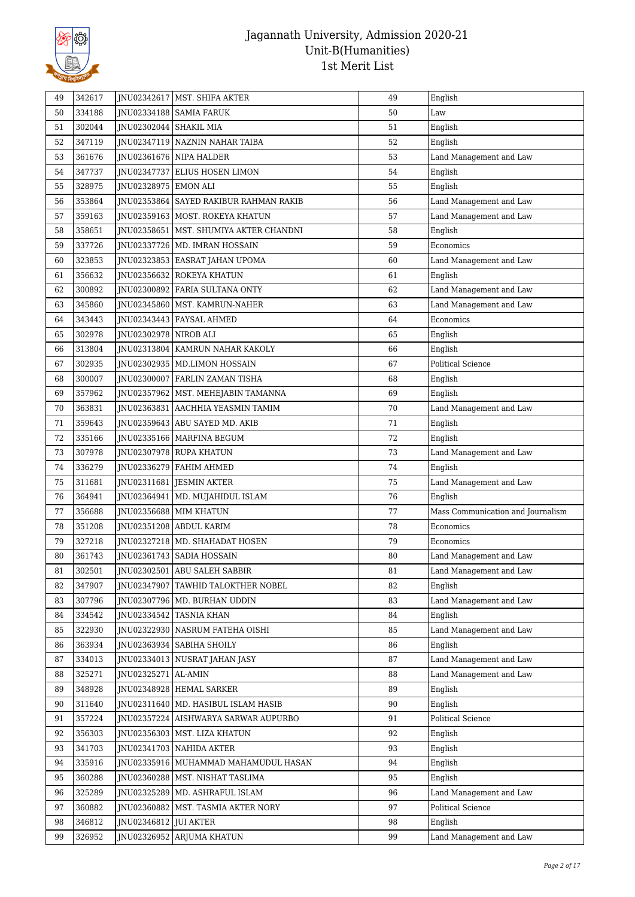

| 49 | 342617 | JNU02342617            | MST. SHIFA AKTER                       | 49 | English                           |
|----|--------|------------------------|----------------------------------------|----|-----------------------------------|
| 50 | 334188 |                        | JNU02334188   SAMIA FARUK              | 50 | Law                               |
| 51 | 302044 | INU02302044 SHAKIL MIA |                                        | 51 | English                           |
| 52 | 347119 |                        | JNU02347119 NAZNIN NAHAR TAIBA         | 52 | English                           |
| 53 | 361676 |                        | JNU02361676 NIPA HALDER                | 53 | Land Management and Law           |
| 54 | 347737 | JNU02347737            | <b>ELIUS HOSEN LIMON</b>               | 54 | English                           |
| 55 | 328975 | JNU02328975   EMON ALI |                                        | 55 | English                           |
| 56 | 353864 |                        | JNU02353864 SAYED RAKIBUR RAHMAN RAKIB | 56 | Land Management and Law           |
| 57 | 359163 |                        | INU02359163 MOST. ROKEYA KHATUN        | 57 | Land Management and Law           |
| 58 | 358651 | JNU02358651            | MST. SHUMIYA AKTER CHANDNI             | 58 | English                           |
| 59 | 337726 | JNU02337726            | MD. IMRAN HOSSAIN                      | 59 | Economics                         |
| 60 | 323853 |                        | JNU02323853 EASRAT JAHAN UPOMA         | 60 | Land Management and Law           |
| 61 | 356632 |                        | JNU02356632 ROKEYA KHATUN              | 61 | English                           |
| 62 | 300892 |                        | JNU02300892 FARIA SULTANA ONTY         | 62 | Land Management and Law           |
| 63 | 345860 |                        | JNU02345860   MST. KAMRUN-NAHER        | 63 | Land Management and Law           |
| 64 | 343443 | INU02343443            | <b>FAYSAL AHMED</b>                    | 64 | Economics                         |
| 65 | 302978 | JNU02302978 NIROB ALI  |                                        | 65 | English                           |
| 66 | 313804 |                        | JNU02313804   KAMRUN NAHAR KAKOLY      | 66 | English                           |
| 67 | 302935 |                        | JNU02302935   MD.LIMON HOSSAIN         | 67 | <b>Political Science</b>          |
| 68 | 300007 | JNU02300007            | <b>FARLIN ZAMAN TISHA</b>              | 68 | English                           |
| 69 | 357962 |                        | JNU02357962   MST. MEHEJABIN TAMANNA   | 69 | English                           |
| 70 | 363831 | JNU02363831            | AACHHIA YEASMIN TAMIM                  | 70 | Land Management and Law           |
| 71 | 359643 | JNU02359643            | ABU SAYED MD. AKIB                     | 71 | English                           |
| 72 | 335166 |                        | JNU02335166   MARFINA BEGUM            | 72 | English                           |
| 73 | 307978 |                        | JNU02307978 RUPA KHATUN                | 73 | Land Management and Law           |
| 74 | 336279 |                        | JNU02336279 FAHIM AHMED                | 74 | English                           |
| 75 | 311681 |                        | JNU02311681 JESMIN AKTER               | 75 | Land Management and Law           |
| 76 | 364941 |                        | JNU02364941   MD. MUJAHIDUL ISLAM      | 76 | English                           |
| 77 | 356688 |                        | JNU02356688 MIM KHATUN                 | 77 | Mass Communication and Journalism |
| 78 | 351208 |                        | JNU02351208 ABDUL KARIM                | 78 | Economics                         |
| 79 | 327218 |                        | INU02327218   MD. SHAHADAT HOSEN       | 79 | Economics                         |
| 80 | 361743 |                        | INU02361743   SADIA HOSSAIN            | 80 | Land Management and Law           |
| 81 | 302501 |                        | JNU02302501 ABU SALEH SABBIR           | 81 | Land Management and Law           |
| 82 | 347907 | JNU02347907            | TAWHID TALOKTHER NOBEL                 | 82 | English                           |
| 83 | 307796 |                        | JNU02307796   MD. BURHAN UDDIN         | 83 | Land Management and Law           |
| 84 | 334542 | JNU02334542            | <b>TASNIA KHAN</b>                     | 84 | English                           |
| 85 | 322930 |                        | JNU02322930   NASRUM FATEHA OISHI      | 85 | Land Management and Law           |
| 86 | 363934 |                        | JNU02363934   SABIHA SHOILY            | 86 | English                           |
| 87 | 334013 |                        | INU02334013 NUSRAT JAHAN JASY          | 87 | Land Management and Law           |
| 88 | 325271 | JNU02325271 AL-AMIN    |                                        | 88 | Land Management and Law           |
| 89 | 348928 |                        | JNU02348928 HEMAL SARKER               | 89 | English                           |
| 90 | 311640 |                        | JNU02311640   MD. HASIBUL ISLAM HASIB  | 90 | English                           |
| 91 | 357224 |                        | JNU02357224   AISHWARYA SARWAR AUPURBO | 91 | Political Science                 |
| 92 | 356303 |                        | JNU02356303   MST. LIZA KHATUN         | 92 | English                           |
| 93 | 341703 |                        | JNU02341703   NAHIDA AKTER             | 93 | English                           |
| 94 | 335916 |                        | JNU02335916   MUHAMMAD MAHAMUDUL HASAN | 94 | English                           |
| 95 | 360288 |                        | JNU02360288   MST. NISHAT TASLIMA      | 95 | English                           |
| 96 | 325289 |                        | JNU02325289   MD. ASHRAFUL ISLAM       | 96 | Land Management and Law           |
| 97 | 360882 |                        | JNU02360882   MST. TASMIA AKTER NORY   | 97 | Political Science                 |
| 98 | 346812 | JNU02346812 JUI AKTER  |                                        | 98 | English                           |
| 99 | 326952 | JNU02326952            | ARJUMA KHATUN                          | 99 | Land Management and Law           |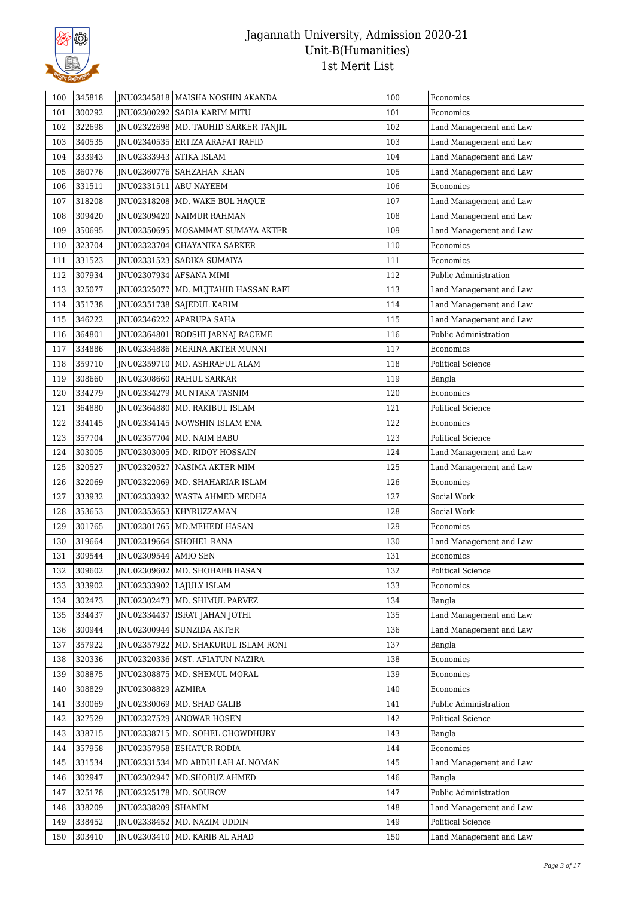

| 100 | 345818 |                             | JNU02345818   MAISHA NOSHIN AKANDA     | 100 | Economics                |
|-----|--------|-----------------------------|----------------------------------------|-----|--------------------------|
| 101 | 300292 |                             | JNU02300292 SADIA KARIM MITU           | 101 | Economics                |
| 102 | 322698 |                             | JNU02322698   MD. TAUHID SARKER TANJIL | 102 | Land Management and Law  |
| 103 | 340535 |                             | JNU02340535 ERTIZA ARAFAT RAFID        | 103 | Land Management and Law  |
| 104 | 333943 |                             | JNU02333943 ATIKA ISLAM                | 104 | Land Management and Law  |
| 105 | 360776 |                             | JNU02360776   SAHZAHAN KHAN            | 105 | Land Management and Law  |
| 106 | 331511 | JNU02331511                 | <b>ABU NAYEEM</b>                      | 106 | Economics                |
| 107 | 318208 |                             | INU02318208   MD. WAKE BUL HAQUE       | 107 | Land Management and Law  |
| 108 | 309420 |                             | JNU02309420   NAIMUR RAHMAN            | 108 | Land Management and Law  |
| 109 | 350695 |                             | JNU02350695   MOSAMMAT SUMAYA AKTER    | 109 | Land Management and Law  |
| 110 | 323704 | JNU02323704                 | CHAYANIKA SARKER                       | 110 | Economics                |
| 111 | 331523 |                             | JNU02331523   SADIKA SUMAIYA           | 111 | Economics                |
| 112 | 307934 |                             | JNU02307934   AFSANA MIMI              | 112 | Public Administration    |
| 113 | 325077 |                             | JNU02325077   MD. MUJTAHID HASSAN RAFI | 113 | Land Management and Law  |
| 114 | 351738 |                             | JNU02351738   SAJEDUL KARIM            | 114 | Land Management and Law  |
| 115 | 346222 |                             | JNU02346222 APARUPA SAHA               | 115 | Land Management and Law  |
| 116 | 364801 | JNU02364801                 | RODSHI JARNAJ RACEME                   | 116 | Public Administration    |
| 117 | 334886 |                             | JNU02334886 MERINA AKTER MUNNI         | 117 | Economics                |
| 118 | 359710 |                             | JNU02359710   MD. ASHRAFUL ALAM        | 118 | <b>Political Science</b> |
| 119 | 308660 |                             | JNU02308660 RAHUL SARKAR               | 119 | Bangla                   |
| 120 | 334279 |                             | JNU02334279   MUNTAKA TASNIM           | 120 | Economics                |
| 121 | 364880 |                             | JNU02364880   MD. RAKIBUL ISLAM        | 121 | Political Science        |
| 122 | 334145 |                             | JNU02334145 NOWSHIN ISLAM ENA          | 122 | Economics                |
| 123 | 357704 |                             | JNU02357704   MD. NAIM BABU            | 123 | Political Science        |
| 124 | 303005 |                             | JNU02303005   MD. RIDOY HOSSAIN        | 124 | Land Management and Law  |
| 125 | 320527 | JNU02320527                 | NASIMA AKTER MIM                       | 125 | Land Management and Law  |
| 126 | 322069 |                             | JNU02322069 MD. SHAHARIAR ISLAM        | 126 | Economics                |
| 127 | 333932 | JNU02333932                 | WASTA AHMED MEDHA                      | 127 | Social Work              |
| 128 | 353653 |                             | JNU02353653   KHYRUZZAMAN              | 128 | Social Work              |
| 129 | 301765 |                             | JNU02301765   MD.MEHEDI HASAN          | 129 | Economics                |
| 130 | 319664 |                             | JNU02319664 SHOHEL RANA                | 130 | Land Management and Law  |
| 131 | 309544 | <b>INU02309544 AMIO SEN</b> |                                        | 131 | Economics                |
| 132 | 309602 |                             | INU02309602   MD. SHOHAEB HASAN        | 132 | <b>Political Science</b> |
| 133 | 333902 |                             | JNU02333902 LAJULY ISLAM               | 133 | Economics                |
| 134 | 302473 |                             | JNU02302473   MD. SHIMUL PARVEZ        | 134 | Bangla                   |
| 135 | 334437 | JNU02334437                 | ISRAT JAHAN JOTHI                      | 135 | Land Management and Law  |
| 136 | 300944 |                             | JNU02300944 SUNZIDA AKTER              | 136 | Land Management and Law  |
| 137 | 357922 | JNU02357922                 | MD. SHAKURUL ISLAM RONI                | 137 | Bangla                   |
| 138 | 320336 |                             | JNU02320336   MST. AFIATUN NAZIRA      | 138 | Economics                |
| 139 | 308875 |                             | JNU02308875   MD. SHEMUL MORAL         | 139 | Economics                |
| 140 | 308829 | JNU02308829                 | <b>AZMIRA</b>                          | 140 | Economics                |
| 141 | 330069 |                             | JNU02330069 MD. SHAD GALIB             | 141 | Public Administration    |
| 142 | 327529 | JNU02327529                 | <b>ANOWAR HOSEN</b>                    | 142 | Political Science        |
| 143 | 338715 |                             | JNU02338715   MD. SOHEL CHOWDHURY      | 143 | Bangla                   |
| 144 | 357958 |                             | JNU02357958 ESHATUR RODIA              | 144 | Economics                |
| 145 | 331534 | JNU02331534                 | MD ABDULLAH AL NOMAN                   | 145 | Land Management and Law  |
| 146 | 302947 | JNU02302947                 | MD.SHOBUZ AHMED                        | 146 | Bangla                   |
| 147 | 325178 |                             | JNU02325178   MD. SOUROV               | 147 | Public Administration    |
| 148 | 338209 | JNU02338209                 | <b>SHAMIM</b>                          | 148 | Land Management and Law  |
| 149 | 338452 | JNU02338452                 | MD. NAZIM UDDIN                        | 149 | Political Science        |
| 150 | 303410 | JNU02303410                 | MD. KARIB AL AHAD                      | 150 | Land Management and Law  |
|     |        |                             |                                        |     |                          |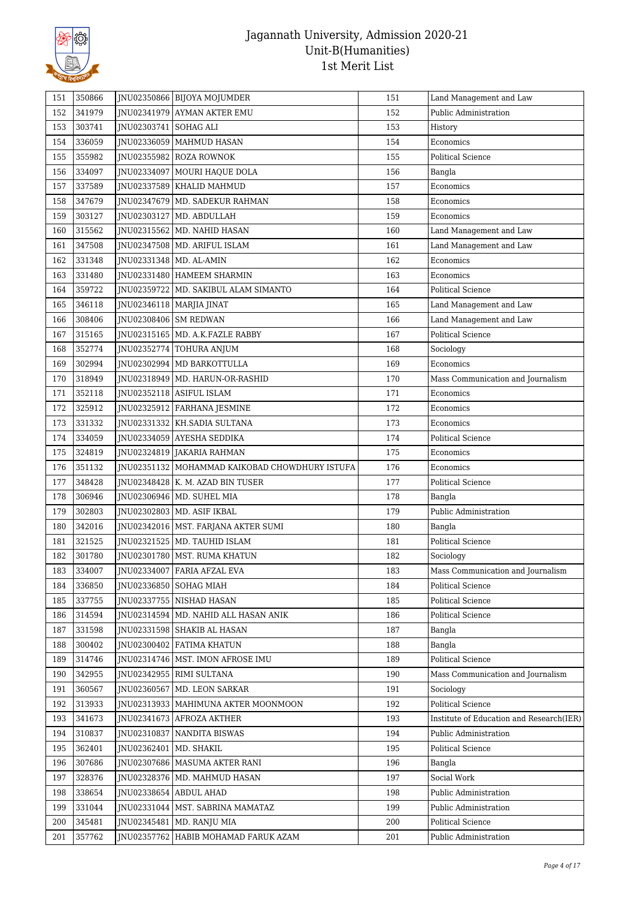

| 151        | 350866 |                         | JNU02350866   BIJOYA MOJUMDER                                                  | 151 | Land Management and Law                  |
|------------|--------|-------------------------|--------------------------------------------------------------------------------|-----|------------------------------------------|
| 152        | 341979 |                         | JNU02341979 AYMAN AKTER EMU                                                    | 152 | Public Administration                    |
| 153        | 303741 | JNU02303741   SOHAG ALI |                                                                                | 153 | History                                  |
| 154        | 336059 |                         | JNU02336059   MAHMUD HASAN                                                     | 154 | Economics                                |
| 155        | 355982 |                         | JNU02355982 ROZA ROWNOK                                                        | 155 | <b>Political Science</b>                 |
| 156        | 334097 |                         | JNU02334097 MOURI HAQUE DOLA                                                   | 156 | Bangla                                   |
| 157        | 337589 |                         | JNU02337589   KHALID MAHMUD                                                    | 157 | Economics                                |
| 158        | 347679 |                         | JNU02347679 MD. SADEKUR RAHMAN                                                 | 158 | Economics                                |
| 159        | 303127 |                         | JNU02303127   MD. ABDULLAH                                                     | 159 | Economics                                |
| 160        | 315562 |                         | JNU02315562   MD. NAHID HASAN                                                  | 160 | Land Management and Law                  |
| 161        | 347508 |                         | JNU02347508   MD. ARIFUL ISLAM                                                 | 161 | Land Management and Law                  |
| 162        | 331348 |                         | JNU02331348   MD. AL-AMIN                                                      | 162 | Economics                                |
| 163        | 331480 |                         | JNU02331480   HAMEEM SHARMIN                                                   | 163 | Economics                                |
| 164        | 359722 |                         | JNU02359722   MD. SAKIBUL ALAM SIMANTO                                         | 164 | Political Science                        |
| 165        | 346118 |                         | JNU02346118   MARJIA JINAT                                                     | 165 | Land Management and Law                  |
| 166        | 308406 | JNU02308406   SM REDWAN |                                                                                | 166 | Land Management and Law                  |
| 167        | 315165 |                         | JNU02315165   MD. A.K.FAZLE RABBY                                              | 167 | Political Science                        |
| 168        | 352774 |                         | JNU02352774 TOHURA ANJUM                                                       | 168 | Sociology                                |
| 169        | 302994 |                         | JNU02302994   MD BARKOTTULLA                                                   | 169 | Economics                                |
| 170        | 318949 |                         | JNU02318949   MD. HARUN-OR-RASHID                                              | 170 | Mass Communication and Journalism        |
| 171        | 352118 |                         | JNU02352118 ASIFUL ISLAM                                                       | 171 | Economics                                |
| 172        | 325912 |                         | JNU02325912   FARHANA JESMINE                                                  | 172 | Economics                                |
| 173        | 331332 |                         | JNU02331332   KH.SADIA SULTANA                                                 | 173 | Economics                                |
| 174        | 334059 |                         | JNU02334059 AYESHA SEDDIKA                                                     | 174 | Political Science                        |
| 175        | 324819 |                         |                                                                                | 175 | Economics                                |
|            | 351132 |                         | JNU02324819 JAKARIA RAHMAN<br>JNU02351132   MOHAMMAD KAIKOBAD CHOWDHURY ISTUFA | 176 | Economics                                |
| 176<br>177 | 348428 |                         | JNU02348428   K. M. AZAD BIN TUSER                                             | 177 | <b>Political Science</b>                 |
| 178        | 306946 |                         | JNU02306946   MD. SUHEL MIA                                                    | 178 |                                          |
| 179        | 302803 |                         |                                                                                | 179 | Bangla<br>Public Administration          |
|            |        |                         | JNU02302803   MD. ASIF IKBAL                                                   |     |                                          |
| 180        | 342016 |                         | JNU02342016   MST. FARJANA AKTER SUMI                                          | 180 | Bangla                                   |
| 181        | 321525 |                         | JNU02321525   MD. TAUHID ISLAM                                                 | 181 | Political Science                        |
| 182        | 301780 |                         | INU02301780   MST. RUMA KHATUN                                                 | 182 | Sociology                                |
| 183        | 334007 |                         | JNU02334007 FARIA AFZAL EVA                                                    | 183 | Mass Communication and Journalism        |
| 184        | 336850 | JNU02336850             | <b>SOHAG MIAH</b>                                                              | 184 | Political Science                        |
| 185        | 337755 |                         | JNU02337755 NISHAD HASAN                                                       | 185 | <b>Political Science</b>                 |
| 186        | 314594 |                         | JNU02314594   MD. NAHID ALL HASAN ANIK                                         | 186 | Political Science                        |
| 187        | 331598 |                         | JNU02331598 SHAKIB AL HASAN                                                    | 187 | Bangla                                   |
| 188        | 300402 |                         | JNU02300402 FATIMA KHATUN                                                      | 188 | Bangla                                   |
| 189        | 314746 | INU02314746             | MST. IMON AFROSE IMU                                                           | 189 | Political Science                        |
| 190        | 342955 | JNU02342955             | <b>RIMI SULTANA</b>                                                            | 190 | Mass Communication and Journalism        |
| 191        | 360567 |                         | JNU02360567   MD. LEON SARKAR                                                  | 191 | Sociology                                |
| 192        | 313933 |                         | INU02313933   MAHIMUNA AKTER MOONMOON                                          | 192 | <b>Political Science</b>                 |
| 193        | 341673 |                         | JNU02341673 AFROZA AKTHER                                                      | 193 | Institute of Education and Research(IER) |
| 194        | 310837 | JNU02310837             | NANDITA BISWAS                                                                 | 194 | Public Administration                    |
| 195        | 362401 | JNU02362401             | MD. SHAKIL                                                                     | 195 | Political Science                        |
| 196        | 307686 | JNU02307686             | <b>MASUMA AKTER RANI</b>                                                       | 196 | Bangla                                   |
| 197        | 328376 |                         | JNU02328376   MD. MAHMUD HASAN                                                 | 197 | Social Work                              |
| 198        | 338654 |                         | JNU02338654   ABDUL AHAD                                                       | 198 | Public Administration                    |
| 199        | 331044 |                         | JNU02331044   MST. SABRINA MAMATAZ                                             | 199 | Public Administration                    |
| 200        | 345481 |                         | JNU02345481   MD. RANJU MIA                                                    | 200 | Political Science                        |
| 201        | 357762 |                         | JNU02357762 HABIB MOHAMAD FARUK AZAM                                           | 201 | Public Administration                    |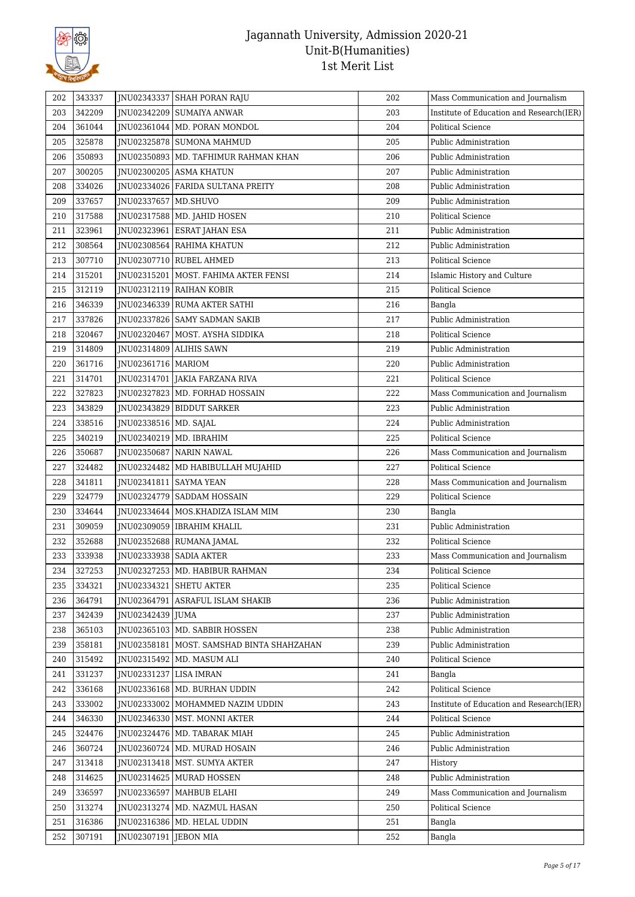

| 202 | 343337 |                          | JNU02343337 SHAH PORAN RAJU                 | 202 | Mass Communication and Journalism        |
|-----|--------|--------------------------|---------------------------------------------|-----|------------------------------------------|
| 203 | 342209 |                          | JNU02342209   SUMAIYA ANWAR                 | 203 | Institute of Education and Research(IER) |
| 204 | 361044 |                          | JNU02361044   MD. PORAN MONDOL              | 204 | Political Science                        |
| 205 | 325878 |                          | JNU02325878 SUMONA MAHMUD                   | 205 | Public Administration                    |
| 206 | 350893 |                          | JNU02350893   MD. TAFHIMUR RAHMAN KHAN      | 206 | Public Administration                    |
| 207 | 300205 |                          | JNU02300205 ASMA KHATUN                     | 207 | Public Administration                    |
| 208 | 334026 |                          | JNU02334026   FARIDA SULTANA PREITY         | 208 | Public Administration                    |
| 209 | 337657 | JNU02337657 MD.SHUVO     |                                             | 209 | Public Administration                    |
| 210 | 317588 |                          | JNU02317588   MD. JAHID HOSEN               | 210 | <b>Political Science</b>                 |
| 211 | 323961 |                          | JNU02323961   ESRAT JAHAN ESA               | 211 | Public Administration                    |
| 212 | 308564 |                          | JNU02308564 RAHIMA KHATUN                   | 212 | Public Administration                    |
| 213 | 307710 |                          | JNU02307710 RUBEL AHMED                     | 213 | Political Science                        |
| 214 | 315201 |                          | JNU02315201   MOST. FAHIMA AKTER FENSI      | 214 | Islamic History and Culture              |
| 215 | 312119 |                          | JNU02312119 RAIHAN KOBIR                    | 215 | Political Science                        |
| 216 | 346339 |                          | JNU02346339 RUMA AKTER SATHI                | 216 | Bangla                                   |
| 217 | 337826 |                          | JNU02337826   SAMY SADMAN SAKIB             | 217 | Public Administration                    |
| 218 | 320467 |                          | INU02320467 MOST. AYSHA SIDDIKA             | 218 | <b>Political Science</b>                 |
| 219 | 314809 |                          | JNU02314809 ALIHIS SAWN                     | 219 | Public Administration                    |
| 220 | 361716 | JNU02361716   MARIOM     |                                             | 220 | Public Administration                    |
| 221 | 314701 |                          | JNU02314701 JAKIA FARZANA RIVA              | 221 | <b>Political Science</b>                 |
| 222 | 327823 |                          | JNU02327823 MD. FORHAD HOSSAIN              | 222 | Mass Communication and Journalism        |
| 223 | 343829 |                          | JNU02343829 BIDDUT SARKER                   | 223 | Public Administration                    |
| 224 | 338516 | JNU02338516   MD. SAJAL  |                                             | 224 | Public Administration                    |
| 225 | 340219 |                          | JNU02340219   MD. IBRAHIM                   | 225 | Political Science                        |
| 226 | 350687 |                          | JNU02350687 NARIN NAWAL                     | 226 | Mass Communication and Journalism        |
| 227 | 324482 |                          | JNU02324482   MD HABIBULLAH MUJAHID         | 227 | <b>Political Science</b>                 |
| 228 | 341811 | JNU02341811   SAYMA YEAN |                                             | 228 | Mass Communication and Journalism        |
| 229 | 324779 |                          | JNU02324779 SADDAM HOSSAIN                  | 229 | Political Science                        |
| 230 | 334644 |                          | JNU02334644   MOS.KHADIZA ISLAM MIM         | 230 | Bangla                                   |
| 231 | 309059 |                          | JNU02309059   IBRAHIM KHALIL                | 231 | Public Administration                    |
| 232 | 352688 |                          | JNU02352688   RUMANA JAMAL                  | 232 | <b>Political Science</b>                 |
| 233 | 333938 |                          | <b>INU02333938 SADIA AKTER</b>              | 233 | Mass Communication and Journalism        |
| 234 | 327253 |                          | JNU02327253   MD. HABIBUR RAHMAN            | 234 | Political Science                        |
| 235 | 334321 |                          | JNU02334321 SHETU AKTER                     | 235 | Political Science                        |
| 236 | 364791 |                          | JNU02364791 ASRAFUL ISLAM SHAKIB            | 236 | Public Administration                    |
| 237 | 342439 | JNU02342439 JUMA         |                                             | 237 | Public Administration                    |
| 238 | 365103 |                          | JNU02365103 MD. SABBIR HOSSEN               | 238 | Public Administration                    |
| 239 | 358181 |                          | JNU02358181   MOST. SAMSHAD BINTA SHAHZAHAN | 239 | Public Administration                    |
| 240 | 315492 |                          | JNU02315492   MD. MASUM ALI                 | 240 | Political Science                        |
| 241 | 331237 | JNU02331237              | <b>LISA IMRAN</b>                           | 241 | Bangla                                   |
| 242 | 336168 |                          | INU02336168   MD. BURHAN UDDIN              | 242 | <b>Political Science</b>                 |
| 243 | 333002 |                          | INU02333002 MOHAMMED NAZIM UDDIN            | 243 | Institute of Education and Research(IER) |
| 244 | 346330 |                          | JNU02346330   MST. MONNI AKTER              | 244 | Political Science                        |
| 245 | 324476 |                          | JNU02324476   MD. TABARAK MIAH              | 245 | Public Administration                    |
| 246 | 360724 |                          | JNU02360724   MD. MURAD HOSAIN              | 246 | Public Administration                    |
| 247 | 313418 |                          | JNU02313418   MST. SUMYA AKTER              | 247 | History                                  |
| 248 | 314625 |                          | JNU02314625 MURAD HOSSEN                    | 248 | Public Administration                    |
| 249 | 336597 |                          | JNU02336597   MAHBUB ELAHI                  | 249 | Mass Communication and Journalism        |
| 250 | 313274 |                          | JNU02313274   MD. NAZMUL HASAN              | 250 | Political Science                        |
| 251 | 316386 |                          | JNU02316386   MD. HELAL UDDIN               | 251 | Bangla                                   |
| 252 | 307191 | JNU02307191 JEBON MIA    |                                             | 252 | Bangla                                   |
|     |        |                          |                                             |     |                                          |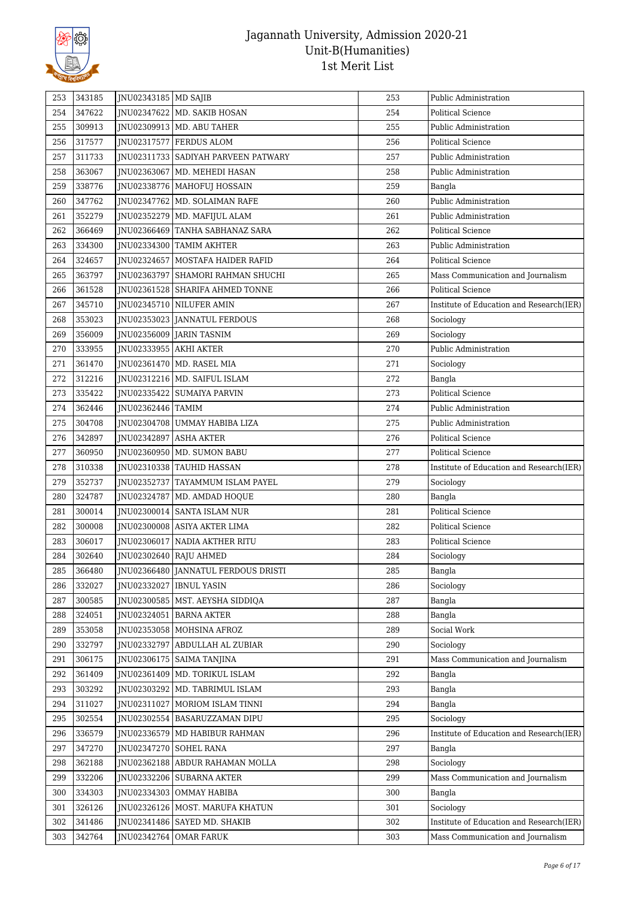

| 253 | 343185 | JNU02343185   MD SAJIB    |                                              | 253 | Public Administration                    |
|-----|--------|---------------------------|----------------------------------------------|-----|------------------------------------------|
| 254 | 347622 |                           | JNU02347622   MD. SAKIB HOSAN                | 254 | <b>Political Science</b>                 |
| 255 | 309913 |                           | JNU02309913   MD. ABU TAHER                  | 255 | Public Administration                    |
| 256 | 317577 |                           | JNU02317577 FERDUS ALOM                      | 256 | Political Science                        |
|     | 311733 |                           |                                              | 257 |                                          |
| 257 |        |                           | JNU02311733 SADIYAH PARVEEN PATWARY          |     | Public Administration                    |
| 258 | 363067 |                           | JNU02363067   MD. MEHEDI HASAN               | 258 | Public Administration                    |
| 259 | 338776 |                           | JNU02338776   MAHOFUJ HOSSAIN                | 259 | Bangla                                   |
| 260 | 347762 |                           | JNU02347762   MD. SOLAIMAN RAFE              | 260 | Public Administration                    |
| 261 | 352279 |                           | JNU02352279   MD. MAFIJUL ALAM               | 261 | Public Administration                    |
| 262 | 366469 |                           | JNU02366469 TANHA SABHANAZ SARA              | 262 | Political Science                        |
| 263 | 334300 |                           | JNU02334300 TAMIM AKHTER                     | 263 | Public Administration                    |
| 264 | 324657 |                           | JNU02324657   MOSTAFA HAIDER RAFID           | 264 | <b>Political Science</b>                 |
| 265 | 363797 |                           | JNU02363797 SHAMORI RAHMAN SHUCHI            | 265 | Mass Communication and Journalism        |
| 266 | 361528 |                           | JNU02361528 SHARIFA AHMED TONNE              | 266 | <b>Political Science</b>                 |
| 267 | 345710 |                           | JNU02345710 NILUFER AMIN                     | 267 | Institute of Education and Research(IER) |
| 268 | 353023 |                           | JNU02353023 JANNATUL FERDOUS                 | 268 | Sociology                                |
| 269 | 356009 |                           | INU02356009   JARIN TASNIM                   | 269 | Sociology                                |
| 270 | 333955 | JNU02333955 AKHI AKTER    |                                              | 270 | Public Administration                    |
| 271 | 361470 |                           | JNU02361470 MD. RASEL MIA                    | 271 | Sociology                                |
| 272 | 312216 |                           | JNU02312216   MD. SAIFUL ISLAM               | 272 | Bangla                                   |
| 273 | 335422 |                           | JNU02335422   SUMAIYA PARVIN                 | 273 | <b>Political Science</b>                 |
| 274 | 362446 | JNU02362446 TAMIM         |                                              | 274 | Public Administration                    |
| 275 | 304708 |                           | JNU02304708 UMMAY HABIBA LIZA                | 275 | Public Administration                    |
| 276 | 342897 | JNU02342897 ASHA AKTER    |                                              | 276 | Political Science                        |
| 277 | 360950 |                           | JNU02360950   MD. SUMON BABU                 | 277 | Political Science                        |
| 278 | 310338 |                           | JNU02310338 TAUHID HASSAN                    | 278 | Institute of Education and Research(IER) |
| 279 | 352737 |                           | JNU02352737 TAYAMMUM ISLAM PAYEL             | 279 | Sociology                                |
| 280 | 324787 |                           | JNU02324787   MD. AMDAD HOQUE                | 280 | Bangla                                   |
| 281 | 300014 |                           | JNU02300014   SANTA ISLAM NUR                | 281 | <b>Political Science</b>                 |
| 282 | 300008 |                           | JNU02300008 ASIYA AKTER LIMA                 | 282 | <b>Political Science</b>                 |
| 283 | 306017 |                           | JNU02306017 NADIA AKTHER RITU                | 283 | Political Science                        |
| 284 | 302640 | JNU02302640 RAJU AHMED    |                                              | 284 | Sociology                                |
| 285 | 366480 |                           | <b>INU02366480   JANNATUL FERDOUS DRISTI</b> | 285 | Bangla                                   |
| 286 | 332027 | JNU02332027   IBNUL YASIN |                                              | 286 | Sociology                                |
| 287 | 300585 |                           | JNU02300585   MST. AEYSHA SIDDIQA            | 287 | Bangla                                   |
| 288 | 324051 | JNU02324051               | <b>BARNA AKTER</b>                           | 288 | Bangla                                   |
| 289 | 353058 |                           | JNU02353058   MOHSINA AFROZ                  | 289 | Social Work                              |
| 290 | 332797 | JNU02332797               | ABDULLAH AL ZUBIAR                           | 290 | Sociology                                |
| 291 | 306175 | JNU02306175               | <b>SAIMA TANJINA</b>                         | 291 | Mass Communication and Journalism        |
| 292 | 361409 |                           | JNU02361409   MD. TORIKUL ISLAM              | 292 | Bangla                                   |
| 293 | 303292 |                           | JNU02303292   MD. TABRIMUL ISLAM             | 293 | Bangla                                   |
| 294 | 311027 |                           | JNU02311027   MORIOM ISLAM TINNI             | 294 | Bangla                                   |
| 295 | 302554 |                           | JNU02302554 BASARUZZAMAN DIPU                | 295 | Sociology                                |
| 296 | 336579 | JNU02336579               | MD HABIBUR RAHMAN                            | 296 | Institute of Education and Research(IER) |
| 297 | 347270 | JNU02347270               | <b>SOHEL RANA</b>                            | 297 | Bangla                                   |
| 298 | 362188 | JNU02362188               | ABDUR RAHAMAN MOLLA                          | 298 | Sociology                                |
| 299 | 332206 |                           | JNU02332206 SUBARNA AKTER                    | 299 | Mass Communication and Journalism        |
| 300 | 334303 |                           | JNU02334303 OMMAY HABIBA                     | 300 | Bangla                                   |
| 301 | 326126 |                           | JNU02326126   MOST. MARUFA KHATUN            | 301 | Sociology                                |
| 302 | 341486 |                           | JNU02341486   SAYED MD. SHAKIB               | 302 | Institute of Education and Research(IER) |
|     |        |                           |                                              |     |                                          |
| 303 | 342764 | JNU02342764               | <b>OMAR FARUK</b>                            | 303 | Mass Communication and Journalism        |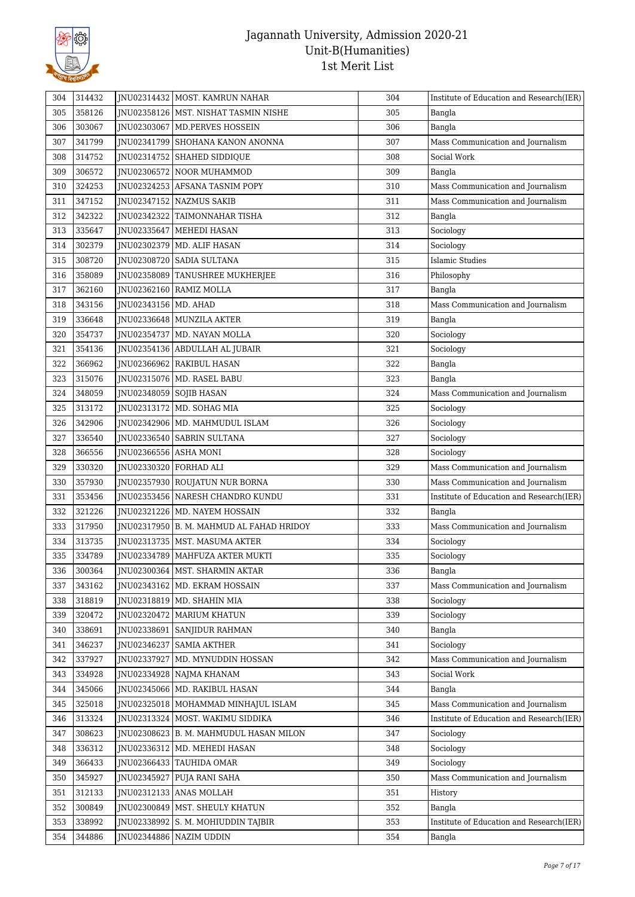

| 304 | 314432           |                          | JNU02314432   MOST. KAMRUN NAHAR         | 304 | Institute of Education and Research(IER)       |
|-----|------------------|--------------------------|------------------------------------------|-----|------------------------------------------------|
| 305 | 358126           |                          | JNU02358126   MST. NISHAT TASMIN NISHE   | 305 | Bangla                                         |
| 306 | 303067           |                          | INU02303067   MD.PERVES HOSSEIN          | 306 | Bangla                                         |
| 307 | 341799           | JNU02341799              | SHOHANA KANON ANONNA                     | 307 | Mass Communication and Journalism              |
| 308 | 314752           | JNU02314752              | <b>SHAHED SIDDIQUE</b>                   | 308 | Social Work                                    |
| 309 | 306572           |                          | JNU02306572 NOOR MUHAMMOD                | 309 | Bangla                                         |
| 310 | 324253           |                          | JNU02324253 AFSANA TASNIM POPY           | 310 | Mass Communication and Journalism              |
| 311 | 347152           |                          | JNU02347152 NAZMUS SAKIB                 | 311 | Mass Communication and Journalism              |
| 312 | 342322           |                          | JNU02342322   TAIMONNAHAR TISHA          | 312 | Bangla                                         |
| 313 | 335647           | JNU02335647              | <b>MEHEDI HASAN</b>                      | 313 | Sociology                                      |
| 314 | 302379           | JNU02302379              | MD. ALIF HASAN                           | 314 | Sociology                                      |
| 315 | 308720           |                          | JNU02308720 SADIA SULTANA                | 315 | <b>Islamic Studies</b>                         |
| 316 | 358089           |                          | JNU02358089   TANUSHREE MUKHERJEE        | 316 | Philosophy                                     |
| 317 | 362160           | JNU02362160              | <b>RAMIZ MOLLA</b>                       | 317 | Bangla                                         |
| 318 | 343156           | JNU02343156   MD. AHAD   |                                          | 318 | Mass Communication and Journalism              |
| 319 | 336648           |                          | JNU02336648   MUNZILA AKTER              | 319 | Bangla                                         |
| 320 | 354737           | JNU02354737              | MD. NAYAN MOLLA                          | 320 | Sociology                                      |
| 321 | 354136           |                          | JNU02354136 ABDULLAH AL JUBAIR           | 321 | Sociology                                      |
| 322 | 366962           |                          | JNU02366962   RAKIBUL HASAN              | 322 | Bangla                                         |
| 323 | 315076           |                          | JNU02315076   MD. RASEL BABU             | 323 | Bangla                                         |
| 324 | 348059           |                          | JNU02348059 SOJIB HASAN                  | 324 | Mass Communication and Journalism              |
| 325 | 313172           |                          | JNU02313172   MD. SOHAG MIA              | 325 | Sociology                                      |
| 326 | 342906           | JNU02342906              | MD. MAHMUDUL ISLAM                       | 326 | Sociology                                      |
| 327 | 336540           | JNU02336540              | <b>SABRIN SULTANA</b>                    | 327 | Sociology                                      |
| 328 |                  |                          |                                          | 328 |                                                |
| 329 | 366556<br>330320 | JNU02366556   ASHA MONI  |                                          | 329 | Sociology<br>Mass Communication and Journalism |
| 330 | 357930           | JNU02330320   FORHAD ALI | JNU02357930 ROUJATUN NUR BORNA           | 330 | Mass Communication and Journalism              |
| 331 | 353456           |                          |                                          | 331 | Institute of Education and Research(IER)       |
|     |                  |                          | JNU02353456   NARESH CHANDRO KUNDU       | 332 |                                                |
| 332 | 321226           |                          | JNU02321226   MD. NAYEM HOSSAIN          | 333 | Bangla                                         |
| 333 | 317950           |                          | JNU02317950 B. M. MAHMUD AL FAHAD HRIDOY |     | Mass Communication and Journalism              |
| 334 | 313735           |                          | JNU02313735   MST. MASUMA AKTER          | 334 | Sociology                                      |
| 335 | 334789           |                          | INU02334789   MAHFUZA AKTER MUKTI        | 335 | Sociology                                      |
| 336 | 300364           |                          | INU02300364   MST. SHARMIN AKTAR         | 336 | Bangla                                         |
| 337 | 343162           |                          | JNU02343162 MD. EKRAM HOSSAIN            | 337 | Mass Communication and Journalism              |
| 338 | 318819           |                          | JNU02318819   MD. SHAHIN MIA             | 338 | Sociology                                      |
| 339 | 320472           | JNU02320472              | <b>MARIUM KHATUN</b>                     | 339 | Sociology                                      |
| 340 | 338691           | INU02338691              | <b>SANJIDUR RAHMAN</b>                   | 340 | Bangla                                         |
| 341 | 346237           | JNU02346237              | <b>SAMIA AKTHER</b>                      | 341 | Sociology                                      |
| 342 | 337927           | JNU02337927              | MD. MYNUDDIN HOSSAN                      | 342 | Mass Communication and Journalism              |
| 343 | 334928           | JNU02334928              | NAJMA KHANAM                             | 343 | Social Work                                    |
| 344 | 345066           |                          | JNU02345066   MD. RAKIBUL HASAN          | 344 | Bangla                                         |
| 345 | 325018           |                          | JNU02325018   MOHAMMAD MINHAJUL ISLAM    | 345 | Mass Communication and Journalism              |
| 346 | 313324           |                          | JNU02313324 MOST. WAKIMU SIDDIKA         | 346 | Institute of Education and Research(IER)       |
| 347 | 308623           |                          | JNU02308623   B. M. MAHMUDUL HASAN MILON | 347 | Sociology                                      |
| 348 | 336312           | JNU02336312              | MD. MEHEDI HASAN                         | 348 | Sociology                                      |
| 349 | 366433           |                          | JNU02366433   TAUHIDA OMAR               | 349 | Sociology                                      |
| 350 | 345927           | JNU02345927              | PUJA RANI SAHA                           | 350 | Mass Communication and Journalism              |
| 351 | 312133           |                          | JNU02312133 ANAS MOLLAH                  | 351 | History                                        |
| 352 | 300849           | JNU02300849              | MST. SHEULY KHATUN                       | 352 | Bangla                                         |
| 353 | 338992           | JNU02338992              | S. M. MOHIUDDIN TAJBIR                   | 353 | Institute of Education and Research(IER)       |
| 354 | 344886           | JNU02344886              | <b>NAZIM UDDIN</b>                       | 354 | Bangla                                         |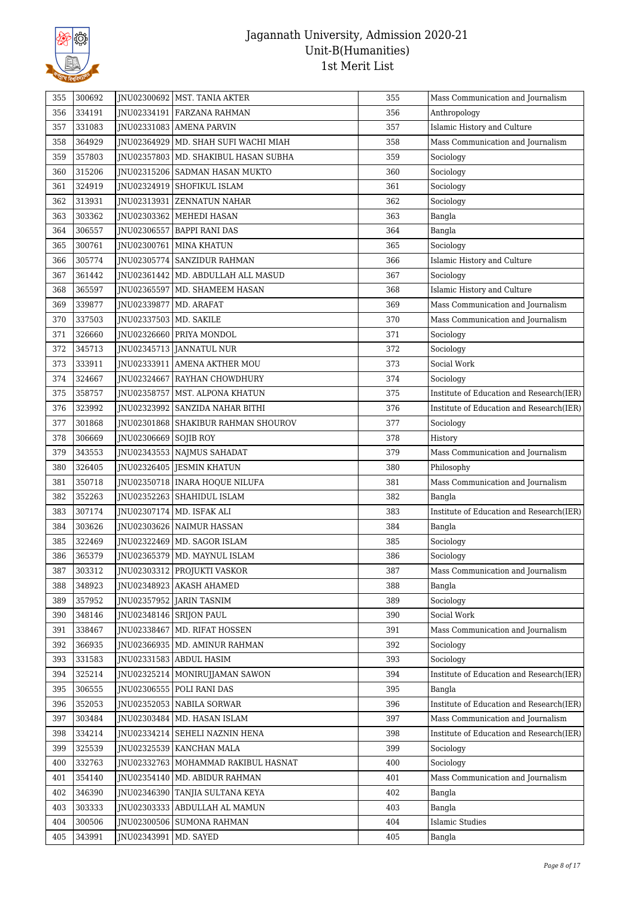

| 355 | 300692 |                          | JNU02300692   MST. TANIA AKTER         | 355 | Mass Communication and Journalism        |
|-----|--------|--------------------------|----------------------------------------|-----|------------------------------------------|
| 356 | 334191 |                          | JNU02334191 FARZANA RAHMAN             | 356 | Anthropology                             |
| 357 | 331083 |                          | JNU02331083 AMENA PARVIN               | 357 | Islamic History and Culture              |
| 358 | 364929 |                          | JNU02364929   MD. SHAH SUFI WACHI MIAH | 358 | Mass Communication and Journalism        |
| 359 | 357803 |                          | JNU02357803   MD. SHAKIBUL HASAN SUBHA | 359 | Sociology                                |
| 360 | 315206 |                          | JNU02315206 SADMAN HASAN MUKTO         | 360 | Sociology                                |
| 361 | 324919 | JNU02324919              | SHOFIKUL ISLAM                         | 361 | Sociology                                |
| 362 | 313931 | JNU02313931              | <b>ZENNATUN NAHAR</b>                  | 362 | Sociology                                |
| 363 | 303362 |                          | JNU02303362   MEHEDI HASAN             | 363 | Bangla                                   |
| 364 | 306557 | JNU02306557              | <b>BAPPI RANI DAS</b>                  | 364 | Bangla                                   |
| 365 | 300761 | JNU02300761              | <b>MINA KHATUN</b>                     | 365 | Sociology                                |
| 366 | 305774 |                          | JNU02305774   SANZIDUR RAHMAN          | 366 | Islamic History and Culture              |
| 367 | 361442 |                          | JNU02361442   MD. ABDULLAH ALL MASUD   | 367 | Sociology                                |
| 368 | 365597 | JNU02365597              | MD. SHAMEEM HASAN                      | 368 | Islamic History and Culture              |
| 369 | 339877 | JNU02339877              | MD. ARAFAT                             | 369 | Mass Communication and Journalism        |
| 370 | 337503 | JNU02337503   MD. SAKILE |                                        | 370 | Mass Communication and Journalism        |
| 371 | 326660 |                          | JNU02326660 PRIYA MONDOL               | 371 | Sociology                                |
| 372 | 345713 |                          | JNU02345713 JANNATUL NUR               | 372 | Sociology                                |
| 373 | 333911 |                          | JNU02333911 AMENA AKTHER MOU           | 373 | Social Work                              |
| 374 | 324667 |                          | JNU02324667 RAYHAN CHOWDHURY           | 374 | Sociology                                |
| 375 | 358757 |                          | JNU02358757   MST. ALPONA KHATUN       | 375 | Institute of Education and Research(IER) |
| 376 | 323992 |                          | JNU02323992 SANZIDA NAHAR BITHI        | 376 | Institute of Education and Research(IER) |
| 377 | 301868 |                          | JNU02301868 SHAKIBUR RAHMAN SHOUROV    | 377 | Sociology                                |
| 378 | 306669 | JNU02306669              | <b>SOJIB ROY</b>                       | 378 | History                                  |
| 379 | 343553 |                          | JNU02343553 NAJMUS SAHADAT             | 379 | Mass Communication and Journalism        |
| 380 | 326405 |                          | JNU02326405 JESMIN KHATUN              | 380 | Philosophy                               |
| 381 | 350718 |                          | JNU02350718   INARA HOQUE NILUFA       | 381 | Mass Communication and Journalism        |
| 382 | 352263 |                          | JNU02352263 SHAHIDUL ISLAM             | 382 | Bangla                                   |
| 383 | 307174 |                          | JNU02307174   MD. ISFAK ALI            | 383 | Institute of Education and Research(IER) |
| 384 | 303626 |                          | JNU02303626 NAIMUR HASSAN              | 384 | Bangla                                   |
| 385 | 322469 |                          | JNU02322469   MD. SAGOR ISLAM          | 385 | Sociology                                |
| 386 | 365379 | JNU02365379              | MD. MAYNUL ISLAM                       | 386 | Sociology                                |
| 387 | 303312 |                          | JNU02303312   PROJUKTI VASKOR          | 387 | Mass Communication and Journalism        |
| 388 | 348923 |                          | JNU02348923 AKASH AHAMED               | 388 | Bangla                                   |
| 389 | 357952 |                          | INU02357952 JARIN TASNIM               | 389 | Sociology                                |
| 390 | 348146 | INU02348146 SRIJON PAUL  |                                        | 390 | Social Work                              |
| 391 | 338467 | JNU02338467              | MD. RIFAT HOSSEN                       | 391 | Mass Communication and Journalism        |
| 392 | 366935 |                          | JNU02366935   MD. AMINUR RAHMAN        | 392 | Sociology                                |
| 393 | 331583 |                          | JNU02331583 ABDUL HASIM                | 393 | Sociology                                |
| 394 | 325214 | INU02325214              | MONIRUJJAMAN SAWON                     | 394 | Institute of Education and Research(IER) |
| 395 | 306555 |                          | JNU02306555 POLI RANI DAS              | 395 | Bangla                                   |
| 396 | 352053 |                          | JNU02352053 NABILA SORWAR              | 396 | Institute of Education and Research(IER) |
| 397 | 303484 |                          | JNU02303484   MD. HASAN ISLAM          | 397 | Mass Communication and Journalism        |
| 398 | 334214 |                          | JNU02334214 SEHELI NAZNIN HENA         | 398 | Institute of Education and Research(IER) |
| 399 | 325539 | JNU02325539              | KANCHAN MALA                           | 399 | Sociology                                |
| 400 | 332763 | JNU02332763              | MOHAMMAD RAKIBUL HASNAT                | 400 | Sociology                                |
| 401 | 354140 |                          | JNU02354140   MD. ABIDUR RAHMAN        | 401 | Mass Communication and Journalism        |
| 402 | 346390 | JNU02346390              | TANJIA SULTANA KEYA                    | 402 | Bangla                                   |
| 403 | 303333 |                          | JNU02303333 ABDULLAH AL MAMUN          | 403 | Bangla                                   |
| 404 | 300506 |                          | JNU02300506 SUMONA RAHMAN              | 404 | <b>Islamic Studies</b>                   |
| 405 | 343991 | JNU02343991              | MD. SAYED                              | 405 | Bangla                                   |
|     |        |                          |                                        |     |                                          |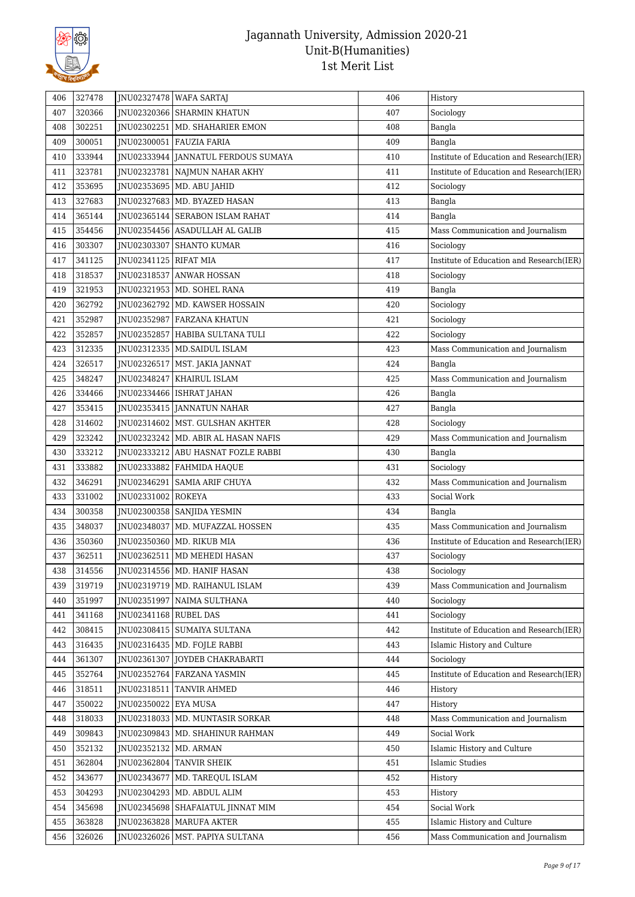

| 406 | 327478           |                              | JNU02327478 WAFA SARTAJ                                        | 406 | History                                  |
|-----|------------------|------------------------------|----------------------------------------------------------------|-----|------------------------------------------|
| 407 | 320366           |                              | JNU02320366 SHARMIN KHATUN                                     | 407 | Sociology                                |
| 408 | 302251           |                              | INU02302251   MD. SHAHARIER EMON                               | 408 | Bangla                                   |
| 409 | 300051           |                              | JNU02300051   FAUZIA FARIA                                     | 409 | Bangla                                   |
| 410 | 333944           |                              | JNU02333944 JANNATUL FERDOUS SUMAYA                            | 410 | Institute of Education and Research(IER) |
| 411 | 323781           |                              | JNU02323781 NAJMUN NAHAR AKHY                                  | 411 | Institute of Education and Research(IER) |
| 412 | 353695           |                              | JNU02353695   MD. ABU JAHID                                    | 412 | Sociology                                |
| 413 | 327683           |                              | JNU02327683 MD. BYAZED HASAN                                   | 413 | Bangla                                   |
| 414 | 365144           |                              | JNU02365144 SERABON ISLAM RAHAT                                | 414 | Bangla                                   |
| 415 | 354456           |                              | INU02354456 ASADULLAH AL GALIB                                 | 415 | Mass Communication and Journalism        |
| 416 | 303307           |                              | JNU02303307 SHANTO KUMAR                                       | 416 | Sociology                                |
| 417 | 341125           | JNU02341125 RIFAT MIA        |                                                                | 417 | Institute of Education and Research(IER) |
| 418 | 318537           |                              | JNU02318537 ANWAR HOSSAN                                       | 418 | Sociology                                |
| 419 | 321953           |                              | JNU02321953   MD. SOHEL RANA                                   | 419 | Bangla                                   |
| 420 | 362792           |                              | JNU02362792 MD. KAWSER HOSSAIN                                 | 420 | Sociology                                |
| 421 | 352987           |                              | JNU02352987 FARZANA KHATUN                                     | 421 | Sociology                                |
| 422 | 352857           |                              | JNU02352857   HABIBA SULTANA TULI                              | 422 | Sociology                                |
| 423 | 312335           |                              | JNU02312335   MD.SAIDUL ISLAM                                  | 423 | Mass Communication and Journalism        |
| 424 | 326517           |                              | JNU02326517   MST. JAKIA JANNAT                                | 424 | Bangla                                   |
| 425 | 348247           |                              | JNU02348247 KHAIRUL ISLAM                                      | 425 | Mass Communication and Journalism        |
| 426 | 334466           |                              | JNU02334466   ISHRAT JAHAN                                     | 426 | Bangla                                   |
| 427 | 353415           |                              | JNU02353415 JANNATUN NAHAR                                     | 427 | Bangla                                   |
| 428 | 314602           |                              | JNU02314602   MST. GULSHAN AKHTER                              | 428 | Sociology                                |
| 429 | 323242           |                              | JNU02323242   MD. ABIR AL HASAN NAFIS                          | 429 | Mass Communication and Journalism        |
| 430 | 333212           |                              | JNU02333212 ABU HASNAT FOZLE RABBI                             | 430 | Bangla                                   |
| 431 | 333882           |                              | JNU02333882   FAHMIDA HAQUE                                    | 431 | Sociology                                |
| 432 | 346291           |                              | JNU02346291 SAMIA ARIF CHUYA                                   | 432 | Mass Communication and Journalism        |
| 433 | 331002           | JNU02331002   ROKEYA         |                                                                | 433 | Social Work                              |
| 434 | 300358           |                              | JNU02300358 SANJIDA YESMIN                                     | 434 | Bangla                                   |
| 435 | 348037           |                              |                                                                | 435 | Mass Communication and Journalism        |
|     |                  |                              | JNU02348037   MD. MUFAZZAL HOSSEN<br>JNU02350360 MD. RIKUB MIA |     |                                          |
| 436 | 350360<br>362511 |                              |                                                                | 436 | Institute of Education and Research(IER) |
| 437 |                  |                              | JNU02362511   MD MEHEDI HASAN                                  | 437 | Sociology                                |
| 438 | 314556           |                              | JNU02314556   MD. HANIF HASAN                                  | 438 | Sociology                                |
| 439 | 319719           |                              | JNU02319719   MD. RAIHANUL ISLAM                               | 439 | Mass Communication and Journalism        |
| 440 | 351997           |                              | JNU02351997   NAIMA SULTHANA                                   | 440 | Sociology                                |
| 441 | 341168           | <b>INU02341168 RUBEL DAS</b> |                                                                | 441 | Sociology                                |
| 442 | 308415           |                              | JNU02308415   SUMAIYA SULTANA                                  | 442 | Institute of Education and Research(IER) |
| 443 | 316435           |                              | JNU02316435   MD. FOJLE RABBI                                  | 443 | Islamic History and Culture              |
| 444 | 361307           |                              | INU02361307   JOYDEB CHAKRABARTI                               | 444 | Sociology                                |
| 445 | 352764           |                              | JNU02352764 FARZANA YASMIN                                     | 445 | Institute of Education and Research(IER) |
| 446 | 318511           |                              | JNU02318511   TANVIR AHMED                                     | 446 | History                                  |
| 447 | 350022           | JNU02350022 EYA MUSA         |                                                                | 447 | History                                  |
| 448 | 318033           |                              | JNU02318033   MD. MUNTASIR SORKAR                              | 448 | Mass Communication and Journalism        |
| 449 | 309843           |                              | JNU02309843   MD. SHAHINUR RAHMAN                              | 449 | Social Work                              |
| 450 | 352132           | JNU02352132   MD. ARMAN      |                                                                | 450 | Islamic History and Culture              |
| 451 | 362804           |                              | JNU02362804 TANVIR SHEIK                                       | 451 | <b>Islamic Studies</b>                   |
| 452 | 343677           |                              | JNU02343677   MD. TAREQUL ISLAM                                | 452 | History                                  |
| 453 | 304293           |                              | JNU02304293   MD. ABDUL ALIM                                   | 453 | History                                  |
| 454 | 345698           |                              | JNU02345698   SHAFAIATUL JINNAT MIM                            | 454 | Social Work                              |
| 455 | 363828           |                              | JNU02363828   MARUFA AKTER                                     | 455 | Islamic History and Culture              |
| 456 | 326026           |                              | JNU02326026   MST. PAPIYA SULTANA                              | 456 | Mass Communication and Journalism        |
|     |                  |                              |                                                                |     |                                          |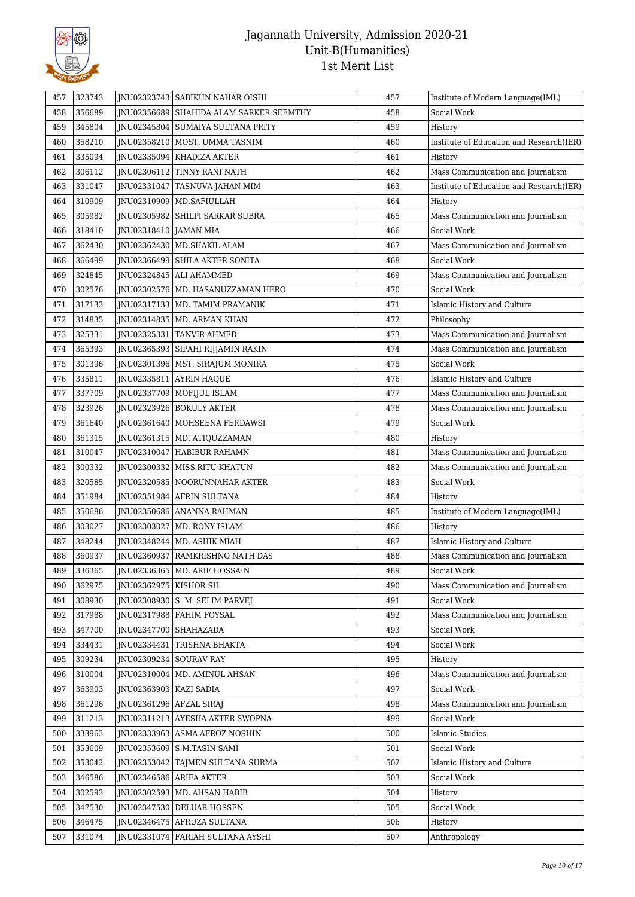

| 457 | 323743 |                          | JNU02323743 SABIKUN NAHAR OISHI         | 457 | Institute of Modern Language(IML)        |
|-----|--------|--------------------------|-----------------------------------------|-----|------------------------------------------|
| 458 | 356689 |                          | JNU02356689 SHAHIDA ALAM SARKER SEEMTHY | 458 | Social Work                              |
| 459 | 345804 |                          | INU02345804   SUMAIYA SULTANA PRITY     | 459 | History                                  |
| 460 | 358210 |                          | JNU02358210   MOST. UMMA TASNIM         | 460 | Institute of Education and Research(IER) |
| 461 | 335094 |                          | JNU02335094   KHADIZA AKTER             | 461 | History                                  |
| 462 | 306112 |                          | JNU02306112 TINNY RANI NATH             | 462 | Mass Communication and Journalism        |
| 463 | 331047 |                          | JNU02331047 TASNUVA JAHAN MIM           | 463 | Institute of Education and Research(IER) |
| 464 | 310909 |                          | JNU02310909   MD. SAFIULLAH             | 464 | History                                  |
| 465 | 305982 |                          | JNU02305982 SHILPI SARKAR SUBRA         | 465 | Mass Communication and Journalism        |
| 466 | 318410 | JNU02318410   JAMAN MIA  |                                         | 466 | Social Work                              |
| 467 | 362430 |                          | JNU02362430   MD.SHAKIL ALAM            | 467 | Mass Communication and Journalism        |
| 468 | 366499 |                          | JNU02366499   SHILA AKTER SONITA        | 468 | Social Work                              |
| 469 | 324845 |                          | JNU02324845   ALI AHAMMED               | 469 | Mass Communication and Journalism        |
| 470 | 302576 |                          | JNU02302576   MD. HASANUZZAMAN HERO     | 470 | Social Work                              |
| 471 | 317133 |                          | JNU02317133   MD. TAMIM PRAMANIK        | 471 | Islamic History and Culture              |
| 472 | 314835 |                          | JNU02314835   MD. ARMAN KHAN            | 472 | Philosophy                               |
| 473 | 325331 |                          | JNU02325331   TANVIR AHMED              | 473 | Mass Communication and Journalism        |
| 474 | 365393 |                          | JNU02365393 SIPAHI RIJJAMIN RAKIN       | 474 | Mass Communication and Journalism        |
| 475 | 301396 |                          | JNU02301396   MST. SIRAJUM MONIRA       | 475 | Social Work                              |
| 476 | 335811 |                          | JNU02335811 AYRIN HAQUE                 | 476 | Islamic History and Culture              |
| 477 | 337709 |                          | JNU02337709   MOFIJUL ISLAM             | 477 | Mass Communication and Journalism        |
| 478 | 323926 |                          | JNU02323926   BOKULY AKTER              | 478 | Mass Communication and Journalism        |
| 479 | 361640 |                          | JNU02361640   MOHSEENA FERDAWSI         | 479 | Social Work                              |
| 480 | 361315 |                          | JNU02361315   MD. ATIQUZZAMAN           | 480 | History                                  |
| 481 | 310047 |                          | JNU02310047 HABIBUR RAHAMN              | 481 | Mass Communication and Journalism        |
| 482 | 300332 |                          | JNU02300332   MISS.RITU KHATUN          | 482 | Mass Communication and Journalism        |
| 483 | 320585 |                          | JNU02320585   NOORUNNAHAR AKTER         | 483 | Social Work                              |
| 484 | 351984 |                          | JNU02351984 AFRIN SULTANA               | 484 | History                                  |
| 485 | 350686 |                          | INU02350686 ANANNA RAHMAN               | 485 | Institute of Modern Language(IML)        |
| 486 | 303027 | JNU02303027              | MD. RONY ISLAM                          | 486 | History                                  |
| 487 | 348244 |                          | JNU02348244   MD. ASHIK MIAH            | 487 | Islamic History and Culture              |
| 488 | 360937 |                          | INU02360937 RAMKRISHNO NATH DAS         | 488 | Mass Communication and Journalism        |
| 489 | 336365 |                          | JNU02336365   MD. ARIF HOSSAIN          | 489 | Social Work                              |
| 490 | 362975 | JNU02362975   KISHOR SIL |                                         | 490 | Mass Communication and Journalism        |
| 491 | 308930 |                          | JNU02308930   S. M. SELIM PARVEJ        | 491 | Social Work                              |
| 492 | 317988 |                          | JNU02317988 FAHIM FOYSAL                | 492 | Mass Communication and Journalism        |
| 493 | 347700 | JNU02347700 SHAHAZADA    |                                         | 493 | Social Work                              |
| 494 | 334431 | JNU02334431              | TRISHNA BHAKTA                          | 494 | Social Work                              |
| 495 | 309234 | JNU02309234 SOURAV RAY   |                                         | 495 | History                                  |
| 496 | 310004 |                          | JNU02310004   MD. AMINUL AHSAN          | 496 | Mass Communication and Journalism        |
| 497 | 363903 | JNU02363903   KAZI SADIA |                                         | 497 | Social Work                              |
| 498 | 361296 | JNU02361296 AFZAL SIRAJ  |                                         | 498 | Mass Communication and Journalism        |
| 499 | 311213 |                          | JNU02311213 AYESHA AKTER SWOPNA         | 499 | Social Work                              |
| 500 | 333963 |                          | JNU02333963   ASMA AFROZ NOSHIN         | 500 | Islamic Studies                          |
| 501 | 353609 | JNU02353609              | <b>S.M.TASIN SAMI</b>                   | 501 | Social Work                              |
| 502 | 353042 | JNU02353042              | TAJMEN SULTANA SURMA                    | 502 | Islamic History and Culture              |
| 503 | 346586 |                          | JNU02346586 ARIFA AKTER                 | 503 | Social Work                              |
| 504 | 302593 |                          | JNU02302593   MD. AHSAN HABIB           | 504 | History                                  |
| 505 | 347530 |                          | JNU02347530 DELUAR HOSSEN               | 505 | Social Work                              |
| 506 | 346475 |                          | JNU02346475 AFRUZA SULTANA              | 506 | History                                  |
| 507 | 331074 |                          | JNU02331074 FARIAH SULTANA AYSHI        | 507 | Anthropology                             |
|     |        |                          |                                         |     |                                          |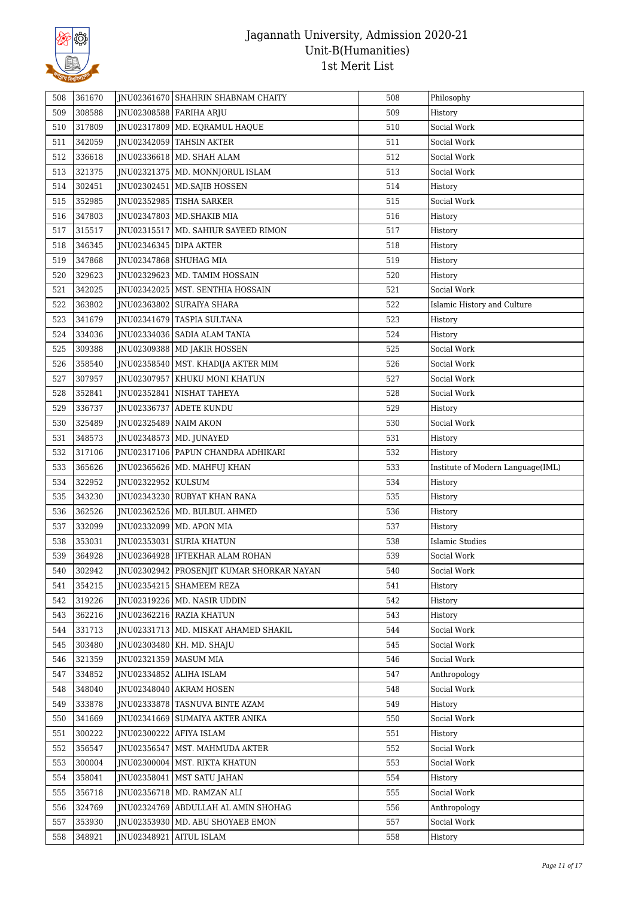

| 508        | 361670           |                            | JNU02361670 SHAHRIN SHABNAM CHAITY                            | 508        | Philosophy                        |
|------------|------------------|----------------------------|---------------------------------------------------------------|------------|-----------------------------------|
| 509        | 308588           |                            | JNU02308588   FARIHA ARJU                                     | 509        | History                           |
| 510        | 317809           |                            | JNU02317809   MD. EQRAMUL HAQUE                               | 510        | Social Work                       |
| 511        | 342059           |                            | JNU02342059 TAHSIN AKTER                                      | 511        | Social Work                       |
| 512        | 336618           |                            | JNU02336618   MD. SHAH ALAM                                   | 512        | Social Work                       |
| 513        | 321375           |                            | JNU02321375   MD. MONNJORUL ISLAM                             | 513        | Social Work                       |
| 514        | 302451           |                            | JNU02302451   MD.SAJIB HOSSEN                                 | 514        | History                           |
| 515        | 352985           |                            | JNU02352985 TISHA SARKER                                      | 515        | Social Work                       |
| 516        | 347803           |                            | JNU02347803   MD.SHAKIB MIA                                   | 516        | History                           |
| 517        | 315517           |                            | JNU02315517   MD. SAHIUR SAYEED RIMON                         | 517        | History                           |
| 518        | 346345           | JNU02346345 DIPA AKTER     |                                                               | 518        | History                           |
| 519        | 347868           |                            | JNU02347868   SHUHAG MIA                                      | 519        | History                           |
| 520        | 329623           |                            | JNU02329623   MD. TAMIM HOSSAIN                               | 520        | History                           |
| 521        | 342025           |                            | JNU02342025   MST. SENTHIA HOSSAIN                            | 521        | Social Work                       |
| 522        | 363802           |                            | JNU02363802 SURAIYA SHARA                                     | 522        | Islamic History and Culture       |
| 523        | 341679           |                            | JNU02341679   TASPIA SULTANA                                  | 523        | History                           |
| 524        | 334036           |                            | JNU02334036 SADIA ALAM TANIA                                  | 524        | History                           |
| 525        | 309388           |                            | JNU02309388   MD JAKIR HOSSEN                                 | 525        | Social Work                       |
| 526        | 358540           |                            | JNU02358540   MST. KHADIJA AKTER MIM                          | 526        | Social Work                       |
| 527        | 307957           | JNU02307957                | KHUKU MONI KHATUN                                             | 527        | Social Work                       |
| 528        | 352841           |                            | JNU02352841   NISHAT TAHEYA                                   | 528        | Social Work                       |
| 529        | 336737           | JNU02336737                | ADETE KUNDU                                                   | 529        | History                           |
| 530        | 325489           | JNU02325489 NAIM AKON      |                                                               | 530        | Social Work                       |
| 531        | 348573           |                            | JNU02348573   MD. JUNAYED                                     | 531        | History                           |
| 532        | 317106           |                            | JNU02317106   PAPUN CHANDRA ADHIKARI                          | 532        | History                           |
| 533        | 365626           |                            | JNU02365626   MD. MAHFUJ KHAN                                 | 533        | Institute of Modern Language(IML) |
| 534        | 322952           | JNU02322952 KULSUM         |                                                               | 534        | History                           |
| 535        | 343230           |                            | JNU02343230 RUBYAT KHAN RANA                                  | 535        | History                           |
| 536        | 362526           |                            | JNU02362526   MD. BULBUL AHMED                                | 536        | History                           |
| 537        | 332099           |                            | JNU02332099   MD. APON MIA                                    | 537        | History                           |
|            |                  |                            |                                                               | 538        | <b>Islamic Studies</b>            |
| 538<br>539 | 353031<br>364928 |                            | JNU02353031 SURIA KHATUN<br>INU02364928   IFTEKHAR ALAM ROHAN | 539        |                                   |
|            | 302942           |                            | JNU02302942 PROSENJIT KUMAR SHORKAR NAYAN                     | 540        | Social Work<br>Social Work        |
| 540        | 354215           |                            | JNU02354215 SHAMEEM REZA                                      | 541        |                                   |
| 541        | 319226           |                            |                                                               |            | History                           |
| 542        |                  |                            | JNU02319226   MD. NASIR UDDIN<br>JNU02362216 RAZIA KHATUN     | 542<br>543 | History<br>History                |
| 543<br>544 | 362216           |                            | INU02331713   MD. MISKAT AHAMED SHAKIL                        | 544        | Social Work                       |
|            | 331713<br>303480 |                            |                                                               | 545        | Social Work                       |
| 545<br>546 | 321359           | JNU02321359   MASUM MIA    | JNU02303480   KH. MD. SHAJU                                   | 546        | Social Work                       |
| 547        | 334852           |                            | JNU02334852 ALIHA ISLAM                                       | 547        | Anthropology                      |
|            | 348040           |                            | INU02348040 AKRAM HOSEN                                       | 548        | Social Work                       |
| 548        | 333878           |                            | JNU02333878 TASNUVA BINTE AZAM                                | 549        |                                   |
| 549        | 341669           |                            | JNU02341669   SUMAIYA AKTER ANIKA                             | 550        | History<br>Social Work            |
| 550        |                  |                            |                                                               |            |                                   |
| 551<br>552 | 300222<br>356547 | JNU02300222<br>JNU02356547 | AFIYA ISLAM                                                   | 551<br>552 | History<br>Social Work            |
|            |                  |                            | MST. MAHMUDA AKTER                                            |            |                                   |
| 553        | 300004           |                            | JNU02300004   MST. RIKTA KHATUN                               | 553        | Social Work                       |
| 554        | 358041           |                            | JNU02358041   MST SATU JAHAN                                  | 554        | History                           |
| 555        | 356718           |                            | JNU02356718   MD. RAMZAN ALI                                  | 555        | Social Work                       |
| 556        | 324769           |                            | JNU02324769 ABDULLAH AL AMIN SHOHAG                           | 556        | Anthropology                      |
| 557        | 353930           | JNU02353930                | MD. ABU SHOYAEB EMON                                          | 557        | Social Work                       |
| 558        | 348921           | JNU02348921                | AITUL ISLAM                                                   | 558        | History                           |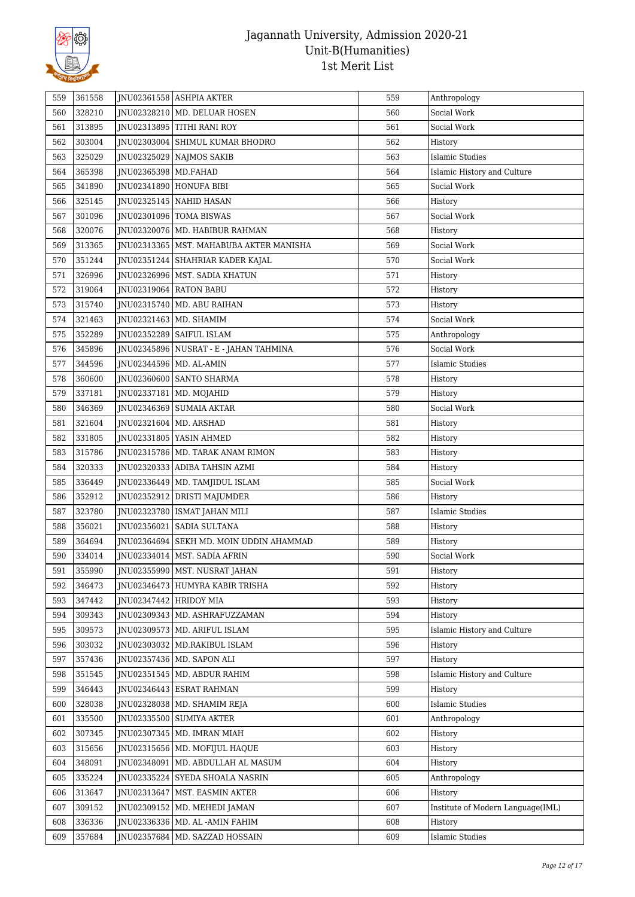

| 559 | 361558 |                           | JNU02361558 ASHPIA AKTER                  | 559 | Anthropology                      |
|-----|--------|---------------------------|-------------------------------------------|-----|-----------------------------------|
| 560 | 328210 |                           | JNU02328210   MD. DELUAR HOSEN            | 560 | Social Work                       |
| 561 | 313895 |                           | JNU02313895 TITHI RANI ROY                | 561 | Social Work                       |
| 562 | 303004 |                           | JNU02303004 SHIMUL KUMAR BHODRO           | 562 | History                           |
| 563 | 325029 |                           | JNU02325029 NAJMOS SAKIB                  | 563 | <b>Islamic Studies</b>            |
| 564 | 365398 | JNU02365398   MD.FAHAD    |                                           | 564 | Islamic History and Culture       |
| 565 | 341890 |                           | JNU02341890   HONUFA BIBI                 | 565 | Social Work                       |
| 566 | 325145 |                           | JNU02325145 NAHID HASAN                   | 566 | History                           |
| 567 | 301096 |                           | JNU02301096   TOMA BISWAS                 | 567 | Social Work                       |
| 568 | 320076 |                           | JNU02320076   MD. HABIBUR RAHMAN          | 568 | History                           |
| 569 | 313365 |                           | JNU02313365   MST. MAHABUBA AKTER MANISHA | 569 | Social Work                       |
| 570 | 351244 |                           | JNU02351244   SHAHRIAR KADER KAJAL        | 570 | Social Work                       |
| 571 | 326996 |                           | JNU02326996   MST. SADIA KHATUN           | 571 | History                           |
| 572 | 319064 | JNU02319064   RATON BABU  |                                           | 572 | History                           |
| 573 | 315740 |                           | JNU02315740   MD. ABU RAIHAN              | 573 | History                           |
| 574 | 321463 |                           | JNU02321463   MD. SHAMIM                  | 574 | Social Work                       |
| 575 | 352289 | JNU02352289               | <b>SAIFUL ISLAM</b>                       | 575 | Anthropology                      |
| 576 | 345896 |                           | JNU02345896 NUSRAT - E - JAHAN TAHMINA    | 576 | Social Work                       |
| 577 | 344596 | JNU02344596   MD. AL-AMIN |                                           | 577 | Islamic Studies                   |
| 578 | 360600 |                           | JNU02360600   SANTO SHARMA                | 578 | History                           |
| 579 | 337181 |                           | JNU02337181   MD. MOJAHID                 | 579 | History                           |
| 580 | 346369 |                           | JNU02346369   SUMAIA AKTAR                | 580 | Social Work                       |
| 581 | 321604 | JNU02321604   MD. ARSHAD  |                                           | 581 | History                           |
| 582 | 331805 |                           | JNU02331805 YASIN AHMED                   | 582 | History                           |
| 583 | 315786 |                           | JNU02315786   MD. TARAK ANAM RIMON        | 583 | History                           |
| 584 | 320333 |                           | JNU02320333 ADIBA TAHSIN AZMI             | 584 | History                           |
| 585 | 336449 |                           | JNU02336449   MD. TAMJIDUL ISLAM          | 585 | Social Work                       |
| 586 | 352912 |                           | JNU02352912 DRISTI MAJUMDER               | 586 | History                           |
| 587 | 323780 |                           | JNU02323780   ISMAT JAHAN MILI            | 587 | <b>Islamic Studies</b>            |
| 588 | 356021 |                           | JNU02356021   SADIA SULTANA               | 588 | History                           |
| 589 | 364694 |                           | JNU02364694   SEKH MD. MOIN UDDIN AHAMMAD | 589 | History                           |
| 590 | 334014 |                           | INU02334014   MST. SADIA AFRIN            | 590 | Social Work                       |
| 591 | 355990 |                           | JNU02355990   MST. NUSRAT JAHAN           | 591 | History                           |
| 592 | 346473 |                           | JNU02346473 HUMYRA KABIR TRISHA           | 592 | History                           |
| 593 | 347442 | JNU02347442 HRIDOY MIA    |                                           | 593 | History                           |
| 594 | 309343 |                           | JNU02309343   MD. ASHRAFUZZAMAN           | 594 | History                           |
| 595 | 309573 |                           | JNU02309573   MD. ARIFUL ISLAM            | 595 | Islamic History and Culture       |
| 596 | 303032 |                           | JNU02303032   MD.RAKIBUL ISLAM            | 596 | History                           |
| 597 | 357436 |                           | JNU02357436   MD. SAPON ALI               | 597 | History                           |
| 598 | 351545 |                           | JNU02351545   MD. ABDUR RAHIM             | 598 | Islamic History and Culture       |
| 599 | 346443 |                           | JNU02346443 ESRAT RAHMAN                  | 599 | History                           |
| 600 | 328038 |                           | JNU02328038   MD. SHAMIM REJA             | 600 | <b>Islamic Studies</b>            |
| 601 | 335500 |                           | JNU02335500 SUMIYA AKTER                  | 601 | Anthropology                      |
| 602 | 307345 |                           | JNU02307345   MD. IMRAN MIAH              | 602 | History                           |
| 603 | 315656 |                           | JNU02315656   MD. MOFIJUL HAQUE           | 603 | History                           |
| 604 | 348091 | JNU02348091               | MD. ABDULLAH AL MASUM                     | 604 | History                           |
| 605 | 335224 |                           | JNU02335224 SYEDA SHOALA NASRIN           | 605 | Anthropology                      |
| 606 | 313647 |                           | JNU02313647   MST. EASMIN AKTER           | 606 | History                           |
| 607 | 309152 |                           | JNU02309152   MD. MEHEDI JAMAN            | 607 | Institute of Modern Language(IML) |
| 608 | 336336 |                           | JNU02336336   MD. AL -AMIN FAHIM          | 608 | History                           |
| 609 | 357684 |                           | JNU02357684   MD. SAZZAD HOSSAIN          | 609 | <b>Islamic Studies</b>            |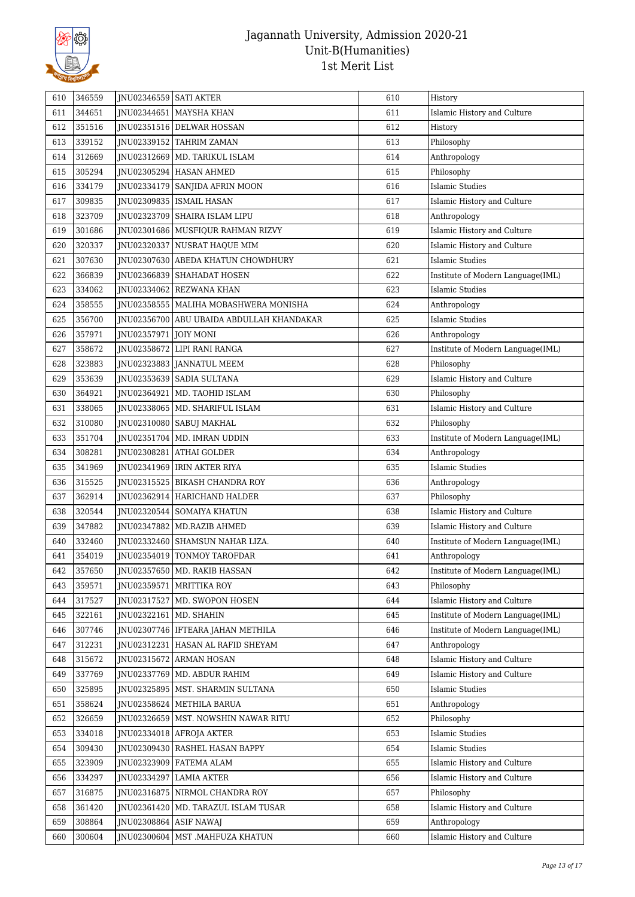

| 610 | 346559 | JNU02346559 SATI AKTER |                                           | 610 | History                           |
|-----|--------|------------------------|-------------------------------------------|-----|-----------------------------------|
| 611 | 344651 |                        | JNU02344651   MAYSHA KHAN                 | 611 | Islamic History and Culture       |
| 612 | 351516 |                        | JNU02351516 DELWAR HOSSAN                 | 612 | History                           |
| 613 | 339152 |                        | JNU02339152 TAHRIM ZAMAN                  | 613 | Philosophy                        |
| 614 | 312669 |                        | INU02312669   MD. TARIKUL ISLAM           | 614 | Anthropology                      |
| 615 | 305294 |                        | JNU02305294 HASAN AHMED                   | 615 | Philosophy                        |
| 616 | 334179 |                        | JNU02334179   SANJIDA AFRIN MOON          | 616 | <b>Islamic Studies</b>            |
| 617 | 309835 |                        | JNU02309835   ISMAIL HASAN                | 617 | Islamic History and Culture       |
| 618 | 323709 | JNU02323709            | SHAIRA ISLAM LIPU                         | 618 | Anthropology                      |
| 619 | 301686 |                        | JNU02301686   MUSFIQUR RAHMAN RIZVY       | 619 | Islamic History and Culture       |
| 620 | 320337 |                        | JNU02320337 NUSRAT HAQUE MIM              | 620 | Islamic History and Culture       |
| 621 | 307630 |                        | JNU02307630 ABEDA KHATUN CHOWDHURY        | 621 | <b>Islamic Studies</b>            |
| 622 | 366839 | JNU02366839            | <b>SHAHADAT HOSEN</b>                     | 622 | Institute of Modern Language(IML) |
| 623 | 334062 |                        | JNU02334062 REZWANA KHAN                  | 623 | <b>Islamic Studies</b>            |
| 624 | 358555 |                        | JNU02358555   MALIHA MOBASHWERA MONISHA   | 624 | Anthropology                      |
| 625 | 356700 |                        | JNU02356700 ABU UBAIDA ABDULLAH KHANDAKAR | 625 | <b>Islamic Studies</b>            |
| 626 | 357971 | JNU02357971            | <b>JOIY MONI</b>                          | 626 | Anthropology                      |
| 627 | 358672 |                        | INU02358672 LIPI RANI RANGA               | 627 | Institute of Modern Language(IML) |
| 628 | 323883 |                        | JNU02323883 JANNATUL MEEM                 | 628 | Philosophy                        |
| 629 | 353639 | JNU02353639            | <b>SADIA SULTANA</b>                      | 629 | Islamic History and Culture       |
| 630 | 364921 |                        | JNU02364921   MD. TAOHID ISLAM            | 630 | Philosophy                        |
| 631 | 338065 |                        | JNU02338065   MD. SHARIFUL ISLAM          | 631 | Islamic History and Culture       |
| 632 | 310080 | JNU02310080            | SABUJ MAKHAL                              | 632 | Philosophy                        |
| 633 | 351704 |                        | JNU02351704   MD. IMRAN UDDIN             | 633 | Institute of Modern Language(IML) |
| 634 | 308281 |                        | JNU02308281 ATHAI GOLDER                  | 634 | Anthropology                      |
| 635 | 341969 |                        | JNU02341969   IRIN AKTER RIYA             | 635 | <b>Islamic Studies</b>            |
| 636 | 315525 |                        | JNU02315525   BIKASH CHANDRA ROY          | 636 | Anthropology                      |
| 637 | 362914 | JNU02362914            | HARICHAND HALDER                          | 637 | Philosophy                        |
| 638 | 320544 | JNU02320544            | SOMAIYA KHATUN                            | 638 | Islamic History and Culture       |
| 639 | 347882 | JNU02347882            | MD.RAZIB AHMED                            | 639 | Islamic History and Culture       |
| 640 | 332460 |                        | JNU02332460   SHAMSUN NAHAR LIZA.         | 640 | Institute of Modern Language(IML) |
| 641 | 354019 |                        | JNU02354019 TONMOY TAROFDAR               | 641 | Anthropology                      |
| 642 | 357650 |                        | JNU02357650   MD. RAKIB HASSAN            | 642 | Institute of Modern Language(IML) |
| 643 | 359571 |                        | JNU02359571   MRITTIKA ROY                | 643 | Philosophy                        |
| 644 | 317527 |                        | JNU02317527   MD. SWOPON HOSEN            | 644 | Islamic History and Culture       |
| 645 | 322161 | JNU02322161            | MD. SHAHIN                                | 645 | Institute of Modern Language(IML) |
| 646 | 307746 |                        | JNU02307746   IFTEARA JAHAN METHILA       | 646 | Institute of Modern Language(IML) |
| 647 | 312231 | JNU02312231            | HASAN AL RAFID SHEYAM                     | 647 | Anthropology                      |
| 648 | 315672 | JNU02315672            | <b>ARMAN HOSAN</b>                        | 648 | Islamic History and Culture       |
| 649 | 337769 | JNU02337769            | MD. ABDUR RAHIM                           | 649 | Islamic History and Culture       |
| 650 | 325895 |                        | JNU02325895   MST. SHARMIN SULTANA        | 650 | <b>Islamic Studies</b>            |
| 651 | 358624 | JNU02358624            | METHILA BARUA                             | 651 | Anthropology                      |
| 652 | 326659 |                        | JNU02326659   MST. NOWSHIN NAWAR RITU     | 652 | Philosophy                        |
| 653 | 334018 |                        | JNU02334018   AFROJA AKTER                | 653 | <b>Islamic Studies</b>            |
| 654 | 309430 | JNU02309430            | <b>RASHEL HASAN BAPPY</b>                 | 654 | <b>Islamic Studies</b>            |
| 655 | 323909 | JNU02323909            | FATEMA ALAM                               | 655 | Islamic History and Culture       |
| 656 | 334297 | JNU02334297            | <b>LAMIA AKTER</b>                        | 656 | Islamic History and Culture       |
| 657 | 316875 |                        | JNU02316875 NIRMOL CHANDRA ROY            | 657 | Philosophy                        |
| 658 | 361420 | JNU02361420            | MD. TARAZUL ISLAM TUSAR                   | 658 | Islamic History and Culture       |
| 659 | 308864 | JNU02308864            |                                           | 659 | Anthropology                      |
|     |        |                        | ASIF NAWAJ                                |     |                                   |
| 660 | 300604 | JNU02300604            | MST .MAHFUZA KHATUN                       | 660 | Islamic History and Culture       |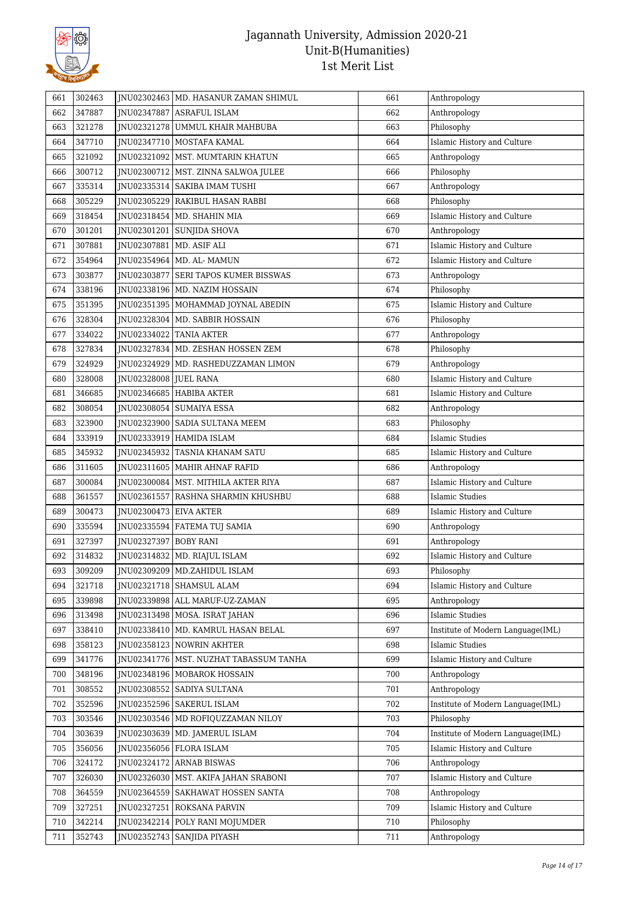

| 661 | 302463 |                        | JNU02302463   MD. HASANUR ZAMAN SHIMUL   | 661 | Anthropology                      |
|-----|--------|------------------------|------------------------------------------|-----|-----------------------------------|
| 662 | 347887 | JNU02347887            | ASRAFUL ISLAM                            | 662 | Anthropology                      |
| 663 | 321278 |                        | JNU02321278 UMMUL KHAIR MAHBUBA          | 663 | Philosophy                        |
| 664 | 347710 | JNU02347710            | MOSTAFA KAMAL                            | 664 | Islamic History and Culture       |
| 665 | 321092 |                        | JNU02321092   MST. MUMTARIN KHATUN       | 665 | Anthropology                      |
| 666 | 300712 |                        | JNU02300712   MST. ZINNA SALWOA JULEE    | 666 | Philosophy                        |
| 667 | 335314 |                        | JNU02335314   SAKIBA IMAM TUSHI          | 667 | Anthropology                      |
| 668 | 305229 | JNU02305229            | RAKIBUL HASAN RABBI                      | 668 | Philosophy                        |
| 669 | 318454 |                        | JNU02318454   MD. SHAHIN MIA             | 669 | Islamic History and Culture       |
| 670 | 301201 | JNU02301201            | SUNJIDA SHOVA                            | 670 | Anthropology                      |
| 671 | 307881 | JNU02307881            | MD. ASIF ALI                             | 671 | Islamic History and Culture       |
| 672 | 354964 |                        | JNU02354964   MD. AL- MAMUN              | 672 | Islamic History and Culture       |
| 673 | 303877 | JNU02303877            | <b>SERI TAPOS KUMER BISSWAS</b>          | 673 | Anthropology                      |
| 674 | 338196 |                        | JNU02338196   MD. NAZIM HOSSAIN          | 674 | Philosophy                        |
| 675 | 351395 |                        | JNU02351395   MOHAMMAD JOYNAL ABEDIN     | 675 | Islamic History and Culture       |
| 676 | 328304 | JNU02328304            | MD. SABBIR HOSSAIN                       | 676 | Philosophy                        |
| 677 | 334022 |                        | JNU02334022 TANIA AKTER                  | 677 | Anthropology                      |
| 678 | 327834 |                        | JNU02327834   MD. ZESHAN HOSSEN ZEM      | 678 | Philosophy                        |
| 679 | 324929 |                        | JNU02324929   MD. RASHEDUZZAMAN LIMON    | 679 | Anthropology                      |
| 680 | 328008 | JNU02328008 JUEL RANA  |                                          | 680 | Islamic History and Culture       |
| 681 | 346685 |                        | JNU02346685   HABIBA AKTER               | 681 | Islamic History and Culture       |
| 682 | 308054 |                        | JNU02308054   SUMAIYA ESSA               | 682 | Anthropology                      |
| 683 | 323900 | JNU02323900            | SADIA SULTANA MEEM                       | 683 | Philosophy                        |
| 684 | 333919 |                        | JNU02333919 HAMIDA ISLAM                 | 684 | <b>Islamic Studies</b>            |
| 685 | 345932 |                        | JNU02345932 TASNIA KHANAM SATU           | 685 | Islamic History and Culture       |
| 686 | 311605 |                        | JNU02311605   MAHIR AHNAF RAFID          | 686 | Anthropology                      |
| 687 | 300084 |                        | JNU02300084   MST. MITHILA AKTER RIYA    | 687 | Islamic History and Culture       |
| 688 | 361557 | JNU02361557            | RASHNA SHARMIN KHUSHBU                   | 688 | Islamic Studies                   |
| 689 | 300473 | JNU02300473 EIVA AKTER |                                          | 689 | Islamic History and Culture       |
| 690 | 335594 |                        | JNU02335594   FATEMA TUJ SAMIA           | 690 | Anthropology                      |
| 691 | 327397 | JNU02327397 BOBY RANI  |                                          | 691 | Anthropology                      |
| 692 | 314832 |                        | JNU02314832   MD. RIAJUL ISLAM           | 692 | Islamic History and Culture       |
| 693 | 309209 |                        | JNU02309209   MD.ZAHIDUL ISLAM           | 693 | Philosophy                        |
| 694 | 321718 |                        | JNU02321718 SHAMSUL ALAM                 | 694 | Islamic History and Culture       |
| 695 | 339898 |                        | JNU02339898   ALL MARUF-UZ-ZAMAN         | 695 | Anthropology                      |
| 696 | 313498 |                        | JNU02313498 MOSA. ISRAT JAHAN            | 696 | <b>Islamic Studies</b>            |
| 697 | 338410 |                        | JNU02338410   MD. KAMRUL HASAN BELAL     | 697 | Institute of Modern Language(IML) |
| 698 | 358123 |                        | JNU02358123   NOWRIN AKHTER              | 698 | <b>Islamic Studies</b>            |
| 699 | 341776 |                        | JNU02341776   MST. NUZHAT TABASSUM TANHA | 699 | Islamic History and Culture       |
| 700 | 348196 |                        | INU02348196 MOBAROK HOSSAIN              | 700 | Anthropology                      |
| 701 | 308552 |                        | JNU02308552   SADIYA SULTANA             | 701 | Anthropology                      |
| 702 | 352596 |                        | JNU02352596 SAKERUL ISLAM                | 702 | Institute of Modern Language(IML) |
| 703 | 303546 |                        | JNU02303546 MD ROFIQUZZAMAN NILOY        | 703 | Philosophy                        |
| 704 | 303639 |                        | JNU02303639   MD. JAMERUL ISLAM          | 704 | Institute of Modern Language(IML) |
| 705 | 356056 |                        | JNU02356056 FLORA ISLAM                  | 705 | Islamic History and Culture       |
| 706 | 324172 |                        | JNU02324172 ARNAB BISWAS                 | 706 | Anthropology                      |
| 707 | 326030 |                        | JNU02326030   MST. AKIFA JAHAN SRABONI   | 707 | Islamic History and Culture       |
| 708 | 364559 | JNU02364559            | <b>SAKHAWAT HOSSEN SANTA</b>             | 708 | Anthropology                      |
| 709 | 327251 | JNU02327251            | <b>ROKSANA PARVIN</b>                    | 709 | Islamic History and Culture       |
|     |        | JNU02342214            | POLY RANI MOJUMDER                       | 710 | Philosophy                        |
| 710 | 342214 |                        |                                          |     |                                   |
| 711 | 352743 | JNU02352743            | <b>SANJIDA PIYASH</b>                    | 711 | Anthropology                      |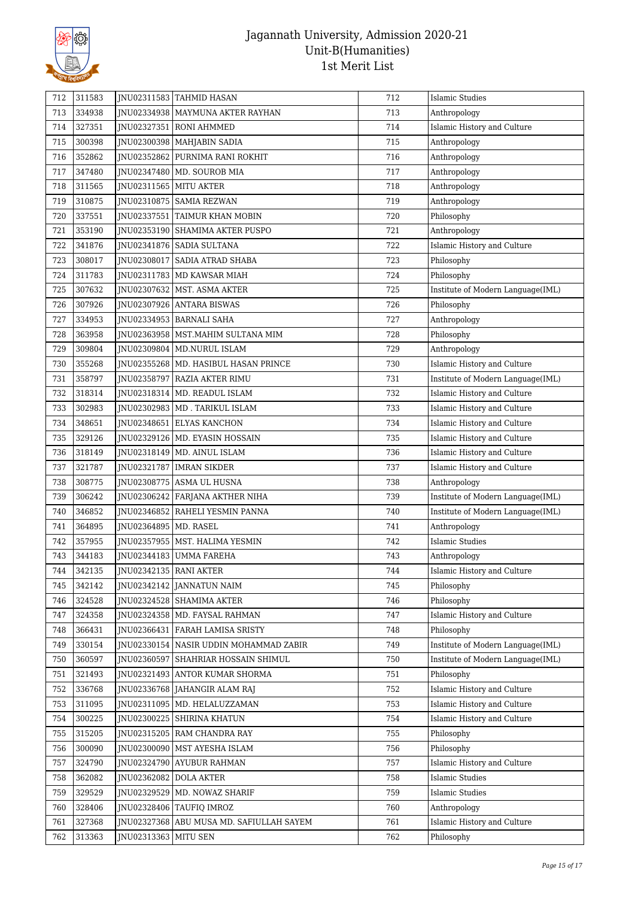

| 712 | 311583 |                          | JNU02311583 TAHMID HASAN               | 712 | Islamic Studies                   |
|-----|--------|--------------------------|----------------------------------------|-----|-----------------------------------|
| 713 | 334938 |                          | JNU02334938   MAYMUNA AKTER RAYHAN     | 713 | Anthropology                      |
| 714 | 327351 | JNU02327351              | RONI AHMMED                            | 714 | Islamic History and Culture       |
| 715 | 300398 |                          | JNU02300398   MAHJABIN SADIA           | 715 | Anthropology                      |
| 716 | 352862 | JNU02352862              | PURNIMA RANI ROKHIT                    | 716 | Anthropology                      |
| 717 | 347480 |                          | JNU02347480   MD. SOUROB MIA           | 717 | Anthropology                      |
| 718 | 311565 | JNU02311565   MITU AKTER |                                        | 718 | Anthropology                      |
| 719 | 310875 | JNU02310875              | <b>SAMIA REZWAN</b>                    | 719 | Anthropology                      |
| 720 | 337551 | JNU02337551              | TAIMUR KHAN MOBIN                      | 720 | Philosophy                        |
| 721 | 353190 | JNU02353190              | <b>SHAMIMA AKTER PUSPO</b>             | 721 | Anthropology                      |
| 722 | 341876 |                          | JNU02341876 SADIA SULTANA              | 722 | Islamic History and Culture       |
| 723 | 308017 | JNU02308017              | <b>SADIA ATRAD SHABA</b>               | 723 | Philosophy                        |
| 724 | 311783 |                          | JNU02311783   MD KAWSAR MIAH           | 724 | Philosophy                        |
| 725 | 307632 | JNU02307632              | MST. ASMA AKTER                        | 725 | Institute of Modern Language(IML) |
| 726 | 307926 | JNU02307926              | <b>ANTARA BISWAS</b>                   | 726 | Philosophy                        |
| 727 | 334953 | JNU02334953              | <b>BARNALI SAHA</b>                    | 727 | Anthropology                      |
| 728 | 363958 | JNU02363958              | MST.MAHIM SULTANA MIM                  | 728 | Philosophy                        |
| 729 | 309804 |                          | JNU02309804   MD.NURUL ISLAM           | 729 | Anthropology                      |
| 730 | 355268 |                          | JNU02355268   MD. HASIBUL HASAN PRINCE | 730 | Islamic History and Culture       |
| 731 | 358797 | JNU02358797              | RAZIA AKTER RIMU                       | 731 | Institute of Modern Language(IML) |
| 732 | 318314 | JNU02318314              | MD. READUL ISLAM                       | 732 | Islamic History and Culture       |
| 733 | 302983 |                          | JNU02302983   MD . TARIKUL ISLAM       | 733 | Islamic History and Culture       |
| 734 | 348651 | JNU02348651              | <b>ELYAS KANCHON</b>                   | 734 | Islamic History and Culture       |
| 735 | 329126 | JNU02329126              | MD. EYASIN HOSSAIN                     | 735 | Islamic History and Culture       |
| 736 | 318149 |                          | JNU02318149   MD. AINUL ISLAM          | 736 | Islamic History and Culture       |
| 737 | 321787 | JNU02321787              | <b>IMRAN SIKDER</b>                    | 737 | Islamic History and Culture       |
| 738 | 308775 |                          | JNU02308775 ASMA UL HUSNA              | 738 | Anthropology                      |
| 739 | 306242 | JNU02306242              | FARJANA AKTHER NIHA                    | 739 | Institute of Modern Language(IML) |
| 740 | 346852 | JNU02346852              | RAHELI YESMIN PANNA                    | 740 | Institute of Modern Language(IML) |
| 741 | 364895 | JNU02364895   MD. RASEL  |                                        | 741 | Anthropology                      |
| 742 | 357955 |                          | JNU02357955   MST. HALIMA YESMIN       | 742 | <b>Islamic Studies</b>            |
| 743 | 344183 | JNU02344183              | UMMA FAREHA                            | 743 | Anthropology                      |
| 744 | 342135 | INU02342135 RANI AKTER   |                                        | 744 | Islamic History and Culture       |
| 745 | 342142 |                          | JNU02342142 JANNATUN NAIM              | 745 | Philosophy                        |
| 746 | 324528 |                          | JNU02324528   SHAMIMA AKTER            | 746 | Philosophy                        |
| 747 | 324358 |                          | JNU02324358   MD. FAYSAL RAHMAN        | 747 | Islamic History and Culture       |
| 748 | 366431 | JNU02366431              | FARAH LAMISA SRISTY                    | 748 | Philosophy                        |
| 749 | 330154 | JNU02330154              | NASIR UDDIN MOHAMMAD ZABIR             | 749 | Institute of Modern Language(IML) |
| 750 | 360597 | JNU02360597              | SHAHRIAR HOSSAIN SHIMUL                | 750 | Institute of Modern Language(IML) |
| 751 | 321493 |                          | JNU02321493 ANTOR KUMAR SHORMA         | 751 | Philosophy                        |
| 752 | 336768 |                          | INU02336768   JAHANGIR ALAM RAJ        | 752 | Islamic History and Culture       |
| 753 | 311095 |                          | JNU02311095   MD. HELALUZZAMAN         | 753 | Islamic History and Culture       |
| 754 | 300225 |                          | JNU02300225 SHIRINA KHATUN             | 754 | Islamic History and Culture       |
| 755 | 315205 |                          | JNU02315205   RAM CHANDRA RAY          | 755 | Philosophy                        |
| 756 | 300090 | JNU02300090              | MST AYESHA ISLAM                       | 756 | Philosophy                        |
| 757 | 324790 | JNU02324790              | AYUBUR RAHMAN                          | 757 | Islamic History and Culture       |
| 758 | 362082 | JNU02362082 DOLA AKTER   |                                        | 758 | <b>Islamic Studies</b>            |
| 759 | 329529 | JNU02329529              | MD. NOWAZ SHARIF                       | 759 | <b>Islamic Studies</b>            |
| 760 | 328406 | JNU02328406              | TAUFIQ IMROZ                           | 760 | Anthropology                      |
| 761 | 327368 | JNU02327368              | ABU MUSA MD. SAFIULLAH SAYEM           | 761 | Islamic History and Culture       |
| 762 | 313363 | JNU02313363   MITU SEN   |                                        | 762 | Philosophy                        |
|     |        |                          |                                        |     |                                   |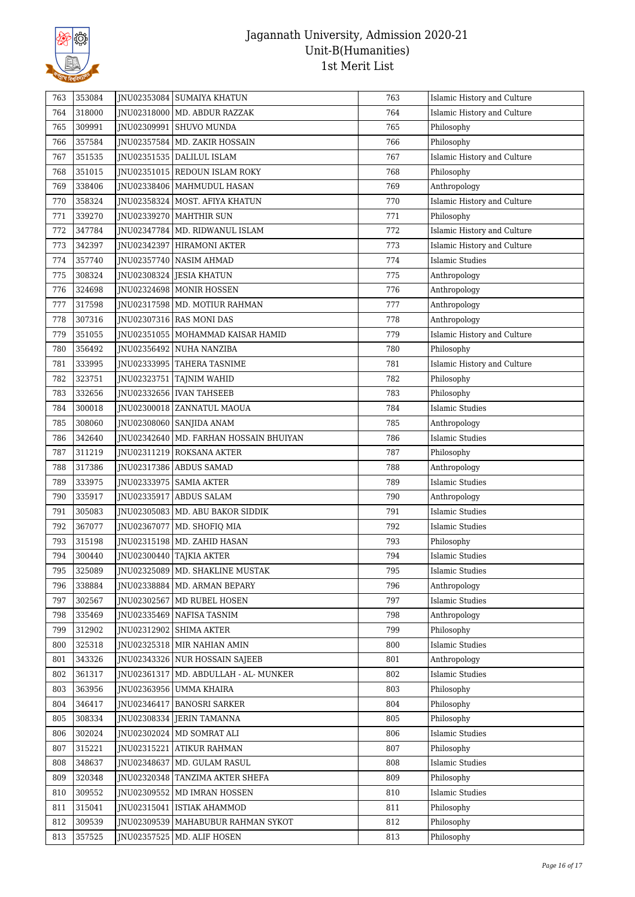

| 763 | 353084 |             | JNU02353084 SUMAIYA KHATUN               | 763 | Islamic History and Culture |
|-----|--------|-------------|------------------------------------------|-----|-----------------------------|
| 764 | 318000 |             | JNU02318000   MD. ABDUR RAZZAK           | 764 | Islamic History and Culture |
| 765 | 309991 |             | JNU02309991   SHUVO MUNDA                | 765 | Philosophy                  |
| 766 | 357584 | JNU02357584 | MD. ZAKIR HOSSAIN                        | 766 | Philosophy                  |
| 767 | 351535 |             | JNU02351535   DALILUL ISLAM              | 767 | Islamic History and Culture |
| 768 | 351015 |             | JNU02351015 REDOUN ISLAM ROKY            | 768 | Philosophy                  |
| 769 | 338406 |             | JNU02338406   MAHMUDUL HASAN             | 769 | Anthropology                |
| 770 | 358324 |             | JNU02358324   MOST. AFIYA KHATUN         | 770 | Islamic History and Culture |
| 771 | 339270 |             | JNU02339270   MAHTHIR SUN                | 771 | Philosophy                  |
| 772 | 347784 |             | INU02347784   MD. RIDWANUL ISLAM         | 772 | Islamic History and Culture |
| 773 | 342397 | JNU02342397 | <b>HIRAMONI AKTER</b>                    | 773 | Islamic History and Culture |
| 774 | 357740 |             | JNU02357740   NASIM AHMAD                | 774 | <b>Islamic Studies</b>      |
| 775 | 308324 | JNU02308324 | JESIA KHATUN                             | 775 | Anthropology                |
| 776 | 324698 |             | JNU02324698   MONIR HOSSEN               | 776 | Anthropology                |
| 777 | 317598 |             | JNU02317598   MD. MOTIUR RAHMAN          | 777 | Anthropology                |
| 778 | 307316 |             | JNU02307316 RAS MONI DAS                 | 778 | Anthropology                |
| 779 | 351055 | JNU02351055 | MOHAMMAD KAISAR HAMID                    | 779 | Islamic History and Culture |
| 780 | 356492 |             | JNU02356492 NUHA NANZIBA                 | 780 | Philosophy                  |
| 781 | 333995 |             | JNU02333995   TAHERA TASNIME             | 781 | Islamic History and Culture |
| 782 | 323751 | JNU02323751 | <b>TAJNIM WAHID</b>                      | 782 | Philosophy                  |
| 783 | 332656 | JNU02332656 | <b>IVAN TAHSEEB</b>                      | 783 | Philosophy                  |
| 784 | 300018 |             | JNU02300018 ZANNATUL MAOUA               | 784 | Islamic Studies             |
| 785 | 308060 |             | JNU02308060   SANJIDA ANAM               | 785 | Anthropology                |
| 786 | 342640 |             | JNU02342640   MD. FARHAN HOSSAIN BHUIYAN | 786 | <b>Islamic Studies</b>      |
| 787 | 311219 |             | JNU02311219 ROKSANA AKTER                | 787 | Philosophy                  |
| 788 | 317386 |             | JNU02317386 ABDUS SAMAD                  | 788 | Anthropology                |
| 789 | 333975 |             | JNU02333975   SAMIA AKTER                | 789 | Islamic Studies             |
| 790 | 335917 | JNU02335917 | <b>ABDUS SALAM</b>                       | 790 | Anthropology                |
| 791 | 305083 | JNU02305083 | MD. ABU BAKOR SIDDIK                     | 791 | Islamic Studies             |
| 792 | 367077 | JNU02367077 | MD. SHOFIQ MIA                           | 792 | <b>Islamic Studies</b>      |
| 793 | 315198 |             | JNU02315198   MD. ZAHID HASAN            | 793 | Philosophy                  |
| 794 | 300440 |             | JNU02300440 TAJKIA AKTER                 | 794 | <b>Islamic Studies</b>      |
| 795 | 325089 |             | <b>INU02325089 MD. SHAKLINE MUSTAK</b>   | 795 | Islamic Studies             |
| 796 | 338884 |             | JNU02338884   MD. ARMAN BEPARY           | 796 | Anthropology                |
| 797 | 302567 |             | JNU02302567   MD RUBEL HOSEN             | 797 | <b>Islamic Studies</b>      |
| 798 | 335469 |             | JNU02335469 NAFISA TASNIM                | 798 | Anthropology                |
| 799 | 312902 | JNU02312902 | <b>SHIMA AKTER</b>                       | 799 | Philosophy                  |
| 800 | 325318 |             | JNU02325318   MIR NAHIAN AMIN            | 800 | <b>Islamic Studies</b>      |
| 801 | 343326 | JNU02343326 | NUR HOSSAIN SAJEEB                       | 801 | Anthropology                |
| 802 | 361317 | JNU02361317 | MD. ABDULLAH - AL- MUNKER                | 802 | <b>Islamic Studies</b>      |
| 803 | 363956 | JNU02363956 | <b>UMMA KHAIRA</b>                       | 803 | Philosophy                  |
| 804 | 346417 | JNU02346417 | <b>BANOSRI SARKER</b>                    | 804 | Philosophy                  |
| 805 | 308334 | JNU02308334 | JERIN TAMANNA                            | 805 | Philosophy                  |
| 806 | 302024 |             | JNU02302024   MD SOMRAT ALI              | 806 | <b>Islamic Studies</b>      |
| 807 | 315221 | JNU02315221 | <b>ATIKUR RAHMAN</b>                     | 807 | Philosophy                  |
| 808 | 348637 | JNU02348637 | MD. GULAM RASUL                          | 808 | Islamic Studies             |
| 809 | 320348 |             | JNU02320348 TANZIMA AKTER SHEFA          | 809 | Philosophy                  |
| 810 | 309552 |             | JNU02309552   MD IMRAN HOSSEN            | 810 | <b>Islamic Studies</b>      |
| 811 | 315041 | JNU02315041 | ISTIAK AHAMMOD                           | 811 | Philosophy                  |
| 812 | 309539 | JNU02309539 | MAHABUBUR RAHMAN SYKOT                   | 812 | Philosophy                  |
| 813 | 357525 | JNU02357525 | MD. ALIF HOSEN                           | 813 | Philosophy                  |
|     |        |             |                                          |     |                             |